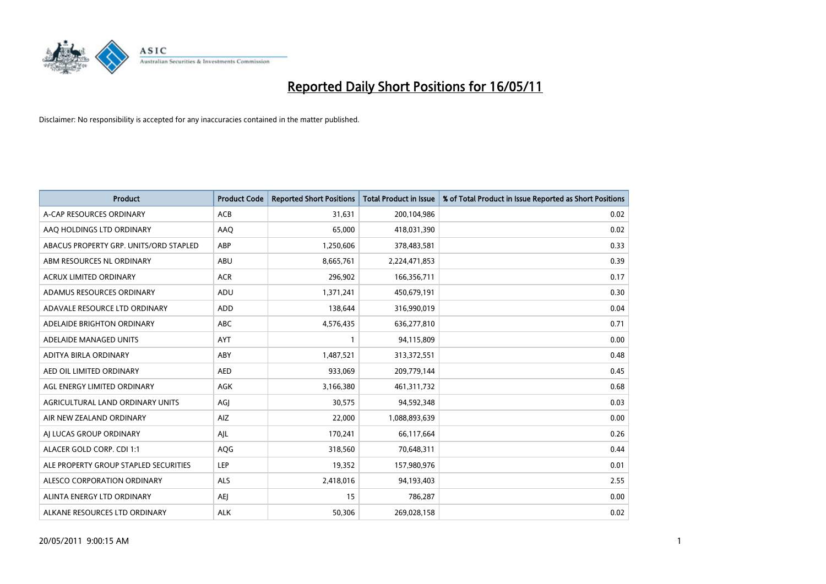

| <b>Product</b>                         | <b>Product Code</b> | <b>Reported Short Positions</b> | Total Product in Issue | % of Total Product in Issue Reported as Short Positions |
|----------------------------------------|---------------------|---------------------------------|------------------------|---------------------------------------------------------|
| A-CAP RESOURCES ORDINARY               | <b>ACB</b>          | 31,631                          | 200,104,986            | 0.02                                                    |
| AAQ HOLDINGS LTD ORDINARY              | AAQ                 | 65,000                          | 418,031,390            | 0.02                                                    |
| ABACUS PROPERTY GRP. UNITS/ORD STAPLED | ABP                 | 1,250,606                       | 378,483,581            | 0.33                                                    |
| ABM RESOURCES NL ORDINARY              | ABU                 | 8,665,761                       | 2,224,471,853          | 0.39                                                    |
| <b>ACRUX LIMITED ORDINARY</b>          | <b>ACR</b>          | 296,902                         | 166,356,711            | 0.17                                                    |
| ADAMUS RESOURCES ORDINARY              | ADU                 | 1,371,241                       | 450,679,191            | 0.30                                                    |
| ADAVALE RESOURCE LTD ORDINARY          | <b>ADD</b>          | 138,644                         | 316,990,019            | 0.04                                                    |
| ADELAIDE BRIGHTON ORDINARY             | <b>ABC</b>          | 4,576,435                       | 636,277,810            | 0.71                                                    |
| ADELAIDE MANAGED UNITS                 | <b>AYT</b>          |                                 | 94,115,809             | 0.00                                                    |
| ADITYA BIRLA ORDINARY                  | ABY                 | 1,487,521                       | 313,372,551            | 0.48                                                    |
| AED OIL LIMITED ORDINARY               | <b>AED</b>          | 933,069                         | 209,779,144            | 0.45                                                    |
| AGL ENERGY LIMITED ORDINARY            | <b>AGK</b>          | 3,166,380                       | 461,311,732            | 0.68                                                    |
| AGRICULTURAL LAND ORDINARY UNITS       | AGJ                 | 30,575                          | 94,592,348             | 0.03                                                    |
| AIR NEW ZEALAND ORDINARY               | AIZ                 | 22,000                          | 1,088,893,639          | 0.00                                                    |
| AI LUCAS GROUP ORDINARY                | AJL                 | 170,241                         | 66,117,664             | 0.26                                                    |
| ALACER GOLD CORP. CDI 1:1              | AQG                 | 318,560                         | 70,648,311             | 0.44                                                    |
| ALE PROPERTY GROUP STAPLED SECURITIES  | LEP                 | 19,352                          | 157,980,976            | 0.01                                                    |
| ALESCO CORPORATION ORDINARY            | <b>ALS</b>          | 2,418,016                       | 94,193,403             | 2.55                                                    |
| ALINTA ENERGY LTD ORDINARY             | <b>AEI</b>          | 15                              | 786,287                | 0.00                                                    |
| ALKANE RESOURCES LTD ORDINARY          | <b>ALK</b>          | 50,306                          | 269,028,158            | 0.02                                                    |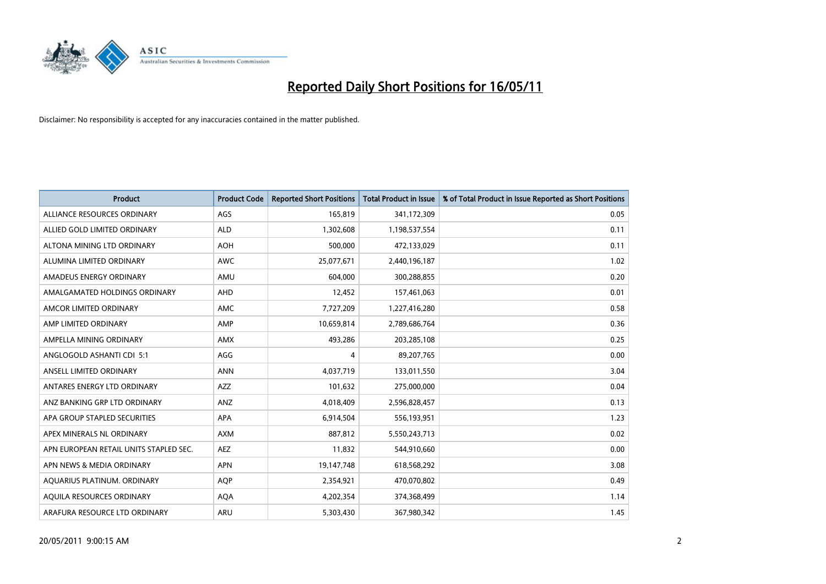

| <b>Product</b>                         | <b>Product Code</b> | <b>Reported Short Positions</b> | <b>Total Product in Issue</b> | % of Total Product in Issue Reported as Short Positions |
|----------------------------------------|---------------------|---------------------------------|-------------------------------|---------------------------------------------------------|
| ALLIANCE RESOURCES ORDINARY            | AGS                 | 165,819                         | 341,172,309                   | 0.05                                                    |
| ALLIED GOLD LIMITED ORDINARY           | <b>ALD</b>          | 1,302,608                       | 1,198,537,554                 | 0.11                                                    |
| ALTONA MINING LTD ORDINARY             | <b>AOH</b>          | 500,000                         | 472,133,029                   | 0.11                                                    |
| ALUMINA LIMITED ORDINARY               | <b>AWC</b>          | 25,077,671                      | 2,440,196,187                 | 1.02                                                    |
| AMADEUS ENERGY ORDINARY                | AMU                 | 604.000                         | 300,288,855                   | 0.20                                                    |
| AMALGAMATED HOLDINGS ORDINARY          | AHD                 | 12,452                          | 157,461,063                   | 0.01                                                    |
| AMCOR LIMITED ORDINARY                 | <b>AMC</b>          | 7,727,209                       | 1,227,416,280                 | 0.58                                                    |
| AMP LIMITED ORDINARY                   | AMP                 | 10,659,814                      | 2,789,686,764                 | 0.36                                                    |
| AMPELLA MINING ORDINARY                | <b>AMX</b>          | 493.286                         | 203,285,108                   | 0.25                                                    |
| ANGLOGOLD ASHANTI CDI 5:1              | AGG                 | 4                               | 89,207,765                    | 0.00                                                    |
| ANSELL LIMITED ORDINARY                | <b>ANN</b>          | 4,037,719                       | 133,011,550                   | 3.04                                                    |
| ANTARES ENERGY LTD ORDINARY            | <b>AZZ</b>          | 101,632                         | 275,000,000                   | 0.04                                                    |
| ANZ BANKING GRP LTD ORDINARY           | ANZ                 | 4,018,409                       | 2,596,828,457                 | 0.13                                                    |
| APA GROUP STAPLED SECURITIES           | <b>APA</b>          | 6,914,504                       | 556,193,951                   | 1.23                                                    |
| APEX MINERALS NL ORDINARY              | <b>AXM</b>          | 887,812                         | 5,550,243,713                 | 0.02                                                    |
| APN EUROPEAN RETAIL UNITS STAPLED SEC. | <b>AEZ</b>          | 11,832                          | 544,910,660                   | 0.00                                                    |
| APN NEWS & MEDIA ORDINARY              | APN                 | 19,147,748                      | 618,568,292                   | 3.08                                                    |
| AQUARIUS PLATINUM. ORDINARY            | <b>AQP</b>          | 2,354,921                       | 470,070,802                   | 0.49                                                    |
| AOUILA RESOURCES ORDINARY              | <b>AQA</b>          | 4,202,354                       | 374,368,499                   | 1.14                                                    |
| ARAFURA RESOURCE LTD ORDINARY          | <b>ARU</b>          | 5,303,430                       | 367,980,342                   | 1.45                                                    |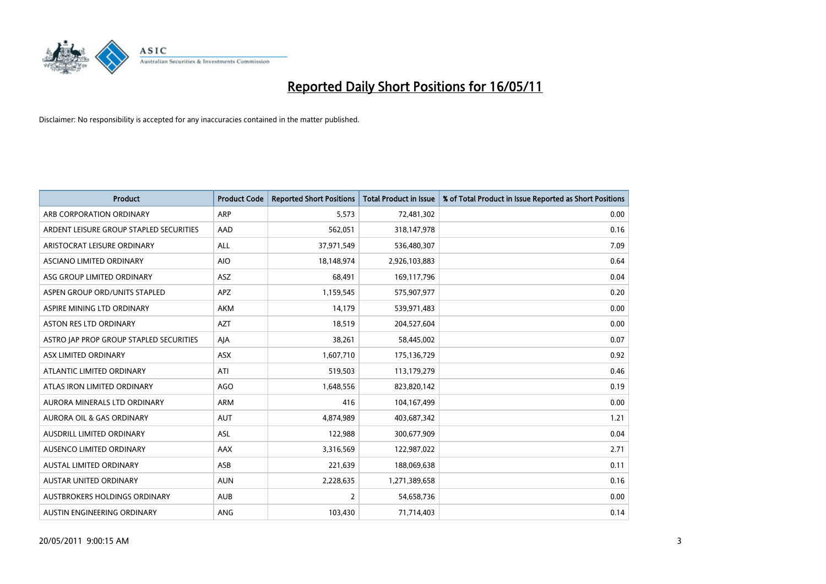

| <b>Product</b>                          | <b>Product Code</b> | <b>Reported Short Positions</b> | Total Product in Issue | % of Total Product in Issue Reported as Short Positions |
|-----------------------------------------|---------------------|---------------------------------|------------------------|---------------------------------------------------------|
| ARB CORPORATION ORDINARY                | ARP                 | 5,573                           | 72,481,302             | 0.00                                                    |
| ARDENT LEISURE GROUP STAPLED SECURITIES | AAD                 | 562,051                         | 318,147,978            | 0.16                                                    |
| ARISTOCRAT LEISURE ORDINARY             | ALL                 | 37,971,549                      | 536,480,307            | 7.09                                                    |
| ASCIANO LIMITED ORDINARY                | <b>AIO</b>          | 18,148,974                      | 2,926,103,883          | 0.64                                                    |
| ASG GROUP LIMITED ORDINARY              | <b>ASZ</b>          | 68,491                          | 169,117,796            | 0.04                                                    |
| ASPEN GROUP ORD/UNITS STAPLED           | <b>APZ</b>          | 1,159,545                       | 575,907,977            | 0.20                                                    |
| ASPIRE MINING LTD ORDINARY              | <b>AKM</b>          | 14,179                          | 539,971,483            | 0.00                                                    |
| ASTON RES LTD ORDINARY                  | <b>AZT</b>          | 18,519                          | 204,527,604            | 0.00                                                    |
| ASTRO JAP PROP GROUP STAPLED SECURITIES | AJA                 | 38,261                          | 58,445,002             | 0.07                                                    |
| ASX LIMITED ORDINARY                    | <b>ASX</b>          | 1,607,710                       | 175,136,729            | 0.92                                                    |
| ATLANTIC LIMITED ORDINARY               | ATI                 | 519,503                         | 113,179,279            | 0.46                                                    |
| ATLAS IRON LIMITED ORDINARY             | <b>AGO</b>          | 1,648,556                       | 823,820,142            | 0.19                                                    |
| AURORA MINERALS LTD ORDINARY            | <b>ARM</b>          | 416                             | 104,167,499            | 0.00                                                    |
| <b>AURORA OIL &amp; GAS ORDINARY</b>    | <b>AUT</b>          | 4,874,989                       | 403,687,342            | 1.21                                                    |
| AUSDRILL LIMITED ORDINARY               | <b>ASL</b>          | 122,988                         | 300,677,909            | 0.04                                                    |
| AUSENCO LIMITED ORDINARY                | <b>AAX</b>          | 3,316,569                       | 122,987,022            | 2.71                                                    |
| AUSTAL LIMITED ORDINARY                 | ASB                 | 221,639                         | 188,069,638            | 0.11                                                    |
| AUSTAR UNITED ORDINARY                  | <b>AUN</b>          | 2,228,635                       | 1,271,389,658          | 0.16                                                    |
| AUSTBROKERS HOLDINGS ORDINARY           | <b>AUB</b>          | 2                               | 54,658,736             | 0.00                                                    |
| AUSTIN ENGINEERING ORDINARY             | ANG                 | 103,430                         | 71,714,403             | 0.14                                                    |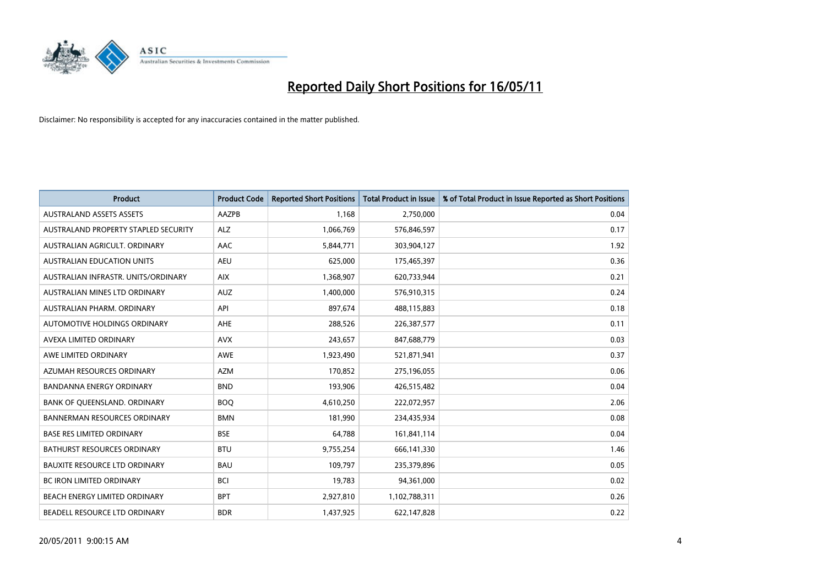

| <b>Product</b>                       | <b>Product Code</b> | <b>Reported Short Positions</b> | <b>Total Product in Issue</b> | % of Total Product in Issue Reported as Short Positions |
|--------------------------------------|---------------------|---------------------------------|-------------------------------|---------------------------------------------------------|
| <b>AUSTRALAND ASSETS ASSETS</b>      | AAZPB               | 1.168                           | 2,750,000                     | 0.04                                                    |
| AUSTRALAND PROPERTY STAPLED SECURITY | <b>ALZ</b>          | 1,066,769                       | 576,846,597                   | 0.17                                                    |
| AUSTRALIAN AGRICULT, ORDINARY        | AAC                 | 5,844,771                       | 303,904,127                   | 1.92                                                    |
| AUSTRALIAN EDUCATION UNITS           | <b>AEU</b>          | 625,000                         | 175,465,397                   | 0.36                                                    |
| AUSTRALIAN INFRASTR, UNITS/ORDINARY  | <b>AIX</b>          | 1,368,907                       | 620,733,944                   | 0.21                                                    |
| AUSTRALIAN MINES LTD ORDINARY        | <b>AUZ</b>          | 1,400,000                       | 576,910,315                   | 0.24                                                    |
| AUSTRALIAN PHARM. ORDINARY           | API                 | 897,674                         | 488,115,883                   | 0.18                                                    |
| <b>AUTOMOTIVE HOLDINGS ORDINARY</b>  | AHE                 | 288,526                         | 226,387,577                   | 0.11                                                    |
| AVEXA LIMITED ORDINARY               | <b>AVX</b>          | 243,657                         | 847,688,779                   | 0.03                                                    |
| AWE LIMITED ORDINARY                 | <b>AWE</b>          | 1,923,490                       | 521,871,941                   | 0.37                                                    |
| AZUMAH RESOURCES ORDINARY            | <b>AZM</b>          | 170,852                         | 275,196,055                   | 0.06                                                    |
| BANDANNA ENERGY ORDINARY             | <b>BND</b>          | 193,906                         | 426,515,482                   | 0.04                                                    |
| BANK OF QUEENSLAND. ORDINARY         | <b>BOO</b>          | 4,610,250                       | 222,072,957                   | 2.06                                                    |
| <b>BANNERMAN RESOURCES ORDINARY</b>  | <b>BMN</b>          | 181,990                         | 234,435,934                   | 0.08                                                    |
| <b>BASE RES LIMITED ORDINARY</b>     | <b>BSE</b>          | 64,788                          | 161,841,114                   | 0.04                                                    |
| BATHURST RESOURCES ORDINARY          | <b>BTU</b>          | 9,755,254                       | 666,141,330                   | 1.46                                                    |
| <b>BAUXITE RESOURCE LTD ORDINARY</b> | <b>BAU</b>          | 109,797                         | 235,379,896                   | 0.05                                                    |
| <b>BC IRON LIMITED ORDINARY</b>      | <b>BCI</b>          | 19,783                          | 94,361,000                    | 0.02                                                    |
| BEACH ENERGY LIMITED ORDINARY        | <b>BPT</b>          | 2,927,810                       | 1,102,788,311                 | 0.26                                                    |
| BEADELL RESOURCE LTD ORDINARY        | <b>BDR</b>          | 1,437,925                       | 622,147,828                   | 0.22                                                    |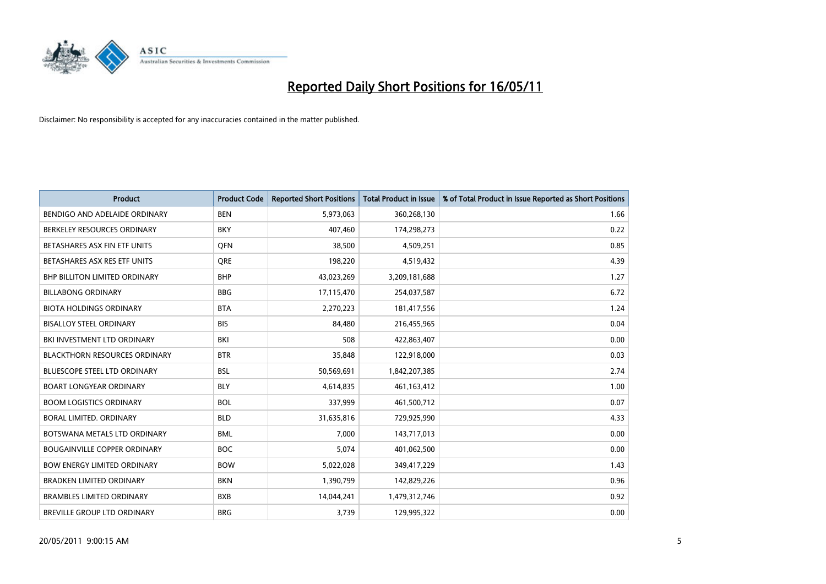

| <b>Product</b>                       | <b>Product Code</b> | <b>Reported Short Positions</b> | Total Product in Issue | % of Total Product in Issue Reported as Short Positions |
|--------------------------------------|---------------------|---------------------------------|------------------------|---------------------------------------------------------|
| BENDIGO AND ADELAIDE ORDINARY        | <b>BEN</b>          | 5,973,063                       | 360,268,130            | 1.66                                                    |
| BERKELEY RESOURCES ORDINARY          | <b>BKY</b>          | 407,460                         | 174,298,273            | 0.22                                                    |
| BETASHARES ASX FIN ETF UNITS         | <b>OFN</b>          | 38,500                          | 4,509,251              | 0.85                                                    |
| BETASHARES ASX RES ETF UNITS         | <b>ORE</b>          | 198,220                         | 4,519,432              | 4.39                                                    |
| BHP BILLITON LIMITED ORDINARY        | <b>BHP</b>          | 43,023,269                      | 3,209,181,688          | 1.27                                                    |
| <b>BILLABONG ORDINARY</b>            | <b>BBG</b>          | 17,115,470                      | 254,037,587            | 6.72                                                    |
| <b>BIOTA HOLDINGS ORDINARY</b>       | <b>BTA</b>          | 2,270,223                       | 181,417,556            | 1.24                                                    |
| <b>BISALLOY STEEL ORDINARY</b>       | <b>BIS</b>          | 84,480                          | 216,455,965            | 0.04                                                    |
| BKI INVESTMENT LTD ORDINARY          | BKI                 | 508                             | 422,863,407            | 0.00                                                    |
| <b>BLACKTHORN RESOURCES ORDINARY</b> | <b>BTR</b>          | 35,848                          | 122,918,000            | 0.03                                                    |
| <b>BLUESCOPE STEEL LTD ORDINARY</b>  | <b>BSL</b>          | 50,569,691                      | 1,842,207,385          | 2.74                                                    |
| <b>BOART LONGYEAR ORDINARY</b>       | <b>BLY</b>          | 4,614,835                       | 461,163,412            | 1.00                                                    |
| <b>BOOM LOGISTICS ORDINARY</b>       | <b>BOL</b>          | 337,999                         | 461,500,712            | 0.07                                                    |
| <b>BORAL LIMITED, ORDINARY</b>       | <b>BLD</b>          | 31,635,816                      | 729,925,990            | 4.33                                                    |
| BOTSWANA METALS LTD ORDINARY         | <b>BML</b>          | 7,000                           | 143,717,013            | 0.00                                                    |
| <b>BOUGAINVILLE COPPER ORDINARY</b>  | <b>BOC</b>          | 5,074                           | 401,062,500            | 0.00                                                    |
| <b>BOW ENERGY LIMITED ORDINARY</b>   | <b>BOW</b>          | 5,022,028                       | 349,417,229            | 1.43                                                    |
| <b>BRADKEN LIMITED ORDINARY</b>      | <b>BKN</b>          | 1,390,799                       | 142,829,226            | 0.96                                                    |
| <b>BRAMBLES LIMITED ORDINARY</b>     | <b>BXB</b>          | 14,044,241                      | 1,479,312,746          | 0.92                                                    |
| BREVILLE GROUP LTD ORDINARY          | <b>BRG</b>          | 3,739                           | 129,995,322            | 0.00                                                    |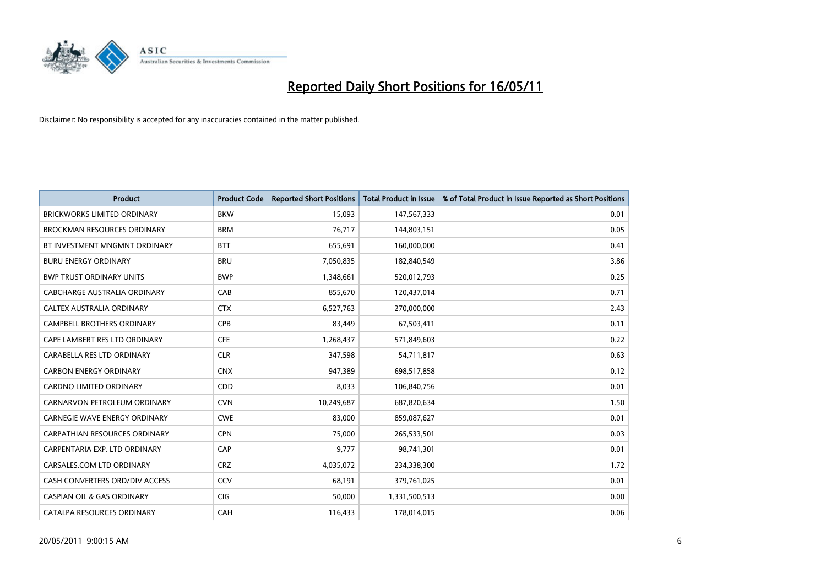

| <b>Product</b>                        | <b>Product Code</b> | <b>Reported Short Positions</b> | <b>Total Product in Issue</b> | % of Total Product in Issue Reported as Short Positions |
|---------------------------------------|---------------------|---------------------------------|-------------------------------|---------------------------------------------------------|
| <b>BRICKWORKS LIMITED ORDINARY</b>    | <b>BKW</b>          | 15,093                          | 147,567,333                   | 0.01                                                    |
| <b>BROCKMAN RESOURCES ORDINARY</b>    | <b>BRM</b>          | 76,717                          | 144,803,151                   | 0.05                                                    |
| BT INVESTMENT MNGMNT ORDINARY         | <b>BTT</b>          | 655,691                         | 160,000,000                   | 0.41                                                    |
| <b>BURU ENERGY ORDINARY</b>           | <b>BRU</b>          | 7,050,835                       | 182,840,549                   | 3.86                                                    |
| <b>BWP TRUST ORDINARY UNITS</b>       | <b>BWP</b>          | 1,348,661                       | 520,012,793                   | 0.25                                                    |
| CABCHARGE AUSTRALIA ORDINARY          | CAB                 | 855,670                         | 120,437,014                   | 0.71                                                    |
| CALTEX AUSTRALIA ORDINARY             | <b>CTX</b>          | 6,527,763                       | 270,000,000                   | 2.43                                                    |
| CAMPBELL BROTHERS ORDINARY            | <b>CPB</b>          | 83,449                          | 67,503,411                    | 0.11                                                    |
| CAPE LAMBERT RES LTD ORDINARY         | <b>CFE</b>          | 1,268,437                       | 571,849,603                   | 0.22                                                    |
| CARABELLA RES LTD ORDINARY            | <b>CLR</b>          | 347,598                         | 54,711,817                    | 0.63                                                    |
| <b>CARBON ENERGY ORDINARY</b>         | <b>CNX</b>          | 947,389                         | 698,517,858                   | 0.12                                                    |
| CARDNO LIMITED ORDINARY               | CDD                 | 8,033                           | 106,840,756                   | 0.01                                                    |
| CARNARVON PETROLEUM ORDINARY          | <b>CVN</b>          | 10,249,687                      | 687,820,634                   | 1.50                                                    |
| <b>CARNEGIE WAVE ENERGY ORDINARY</b>  | <b>CWE</b>          | 83,000                          | 859,087,627                   | 0.01                                                    |
| <b>CARPATHIAN RESOURCES ORDINARY</b>  | <b>CPN</b>          | 75,000                          | 265,533,501                   | 0.03                                                    |
| CARPENTARIA EXP. LTD ORDINARY         | CAP                 | 9,777                           | 98,741,301                    | 0.01                                                    |
| CARSALES.COM LTD ORDINARY             | <b>CRZ</b>          | 4,035,072                       | 234,338,300                   | 1.72                                                    |
| CASH CONVERTERS ORD/DIV ACCESS        | CCV                 | 68,191                          | 379,761,025                   | 0.01                                                    |
| <b>CASPIAN OIL &amp; GAS ORDINARY</b> | <b>CIG</b>          | 50,000                          | 1,331,500,513                 | 0.00                                                    |
| <b>CATALPA RESOURCES ORDINARY</b>     | CAH                 | 116,433                         | 178,014,015                   | 0.06                                                    |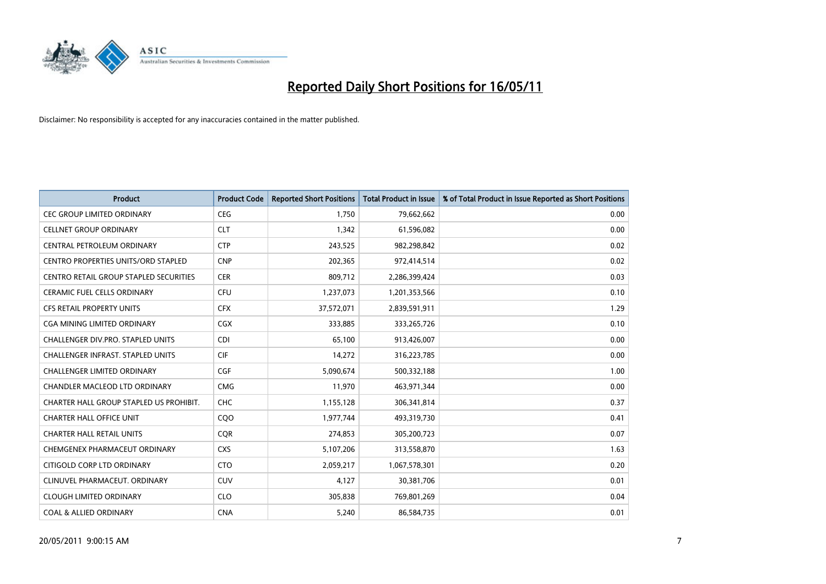

| <b>Product</b>                                | <b>Product Code</b> | <b>Reported Short Positions</b> | <b>Total Product in Issue</b> | % of Total Product in Issue Reported as Short Positions |
|-----------------------------------------------|---------------------|---------------------------------|-------------------------------|---------------------------------------------------------|
| <b>CEC GROUP LIMITED ORDINARY</b>             | <b>CEG</b>          | 1.750                           | 79,662,662                    | 0.00                                                    |
| <b>CELLNET GROUP ORDINARY</b>                 | <b>CLT</b>          | 1,342                           | 61,596,082                    | 0.00                                                    |
| CENTRAL PETROLEUM ORDINARY                    | <b>CTP</b>          | 243,525                         | 982,298,842                   | 0.02                                                    |
| <b>CENTRO PROPERTIES UNITS/ORD STAPLED</b>    | <b>CNP</b>          | 202,365                         | 972,414,514                   | 0.02                                                    |
| <b>CENTRO RETAIL GROUP STAPLED SECURITIES</b> | <b>CER</b>          | 809,712                         | 2,286,399,424                 | 0.03                                                    |
| <b>CERAMIC FUEL CELLS ORDINARY</b>            | <b>CFU</b>          | 1,237,073                       | 1,201,353,566                 | 0.10                                                    |
| <b>CFS RETAIL PROPERTY UNITS</b>              | <b>CFX</b>          | 37,572,071                      | 2,839,591,911                 | 1.29                                                    |
| CGA MINING LIMITED ORDINARY                   | <b>CGX</b>          | 333,885                         | 333,265,726                   | 0.10                                                    |
| <b>CHALLENGER DIV.PRO. STAPLED UNITS</b>      | <b>CDI</b>          | 65,100                          | 913,426,007                   | 0.00                                                    |
| <b>CHALLENGER INFRAST, STAPLED UNITS</b>      | <b>CIF</b>          | 14,272                          | 316,223,785                   | 0.00                                                    |
| <b>CHALLENGER LIMITED ORDINARY</b>            | CGF                 | 5,090,674                       | 500,332,188                   | 1.00                                                    |
| CHANDLER MACLEOD LTD ORDINARY                 | <b>CMG</b>          | 11,970                          | 463,971,344                   | 0.00                                                    |
| CHARTER HALL GROUP STAPLED US PROHIBIT.       | <b>CHC</b>          | 1,155,128                       | 306,341,814                   | 0.37                                                    |
| <b>CHARTER HALL OFFICE UNIT</b>               | COO                 | 1,977,744                       | 493,319,730                   | 0.41                                                    |
| <b>CHARTER HALL RETAIL UNITS</b>              | <b>COR</b>          | 274,853                         | 305,200,723                   | 0.07                                                    |
| CHEMGENEX PHARMACEUT ORDINARY                 | <b>CXS</b>          | 5,107,206                       | 313,558,870                   | 1.63                                                    |
| CITIGOLD CORP LTD ORDINARY                    | <b>CTO</b>          | 2,059,217                       | 1,067,578,301                 | 0.20                                                    |
| CLINUVEL PHARMACEUT. ORDINARY                 | <b>CUV</b>          | 4,127                           | 30,381,706                    | 0.01                                                    |
| <b>CLOUGH LIMITED ORDINARY</b>                | <b>CLO</b>          | 305,838                         | 769,801,269                   | 0.04                                                    |
| <b>COAL &amp; ALLIED ORDINARY</b>             | <b>CNA</b>          | 5,240                           | 86,584,735                    | 0.01                                                    |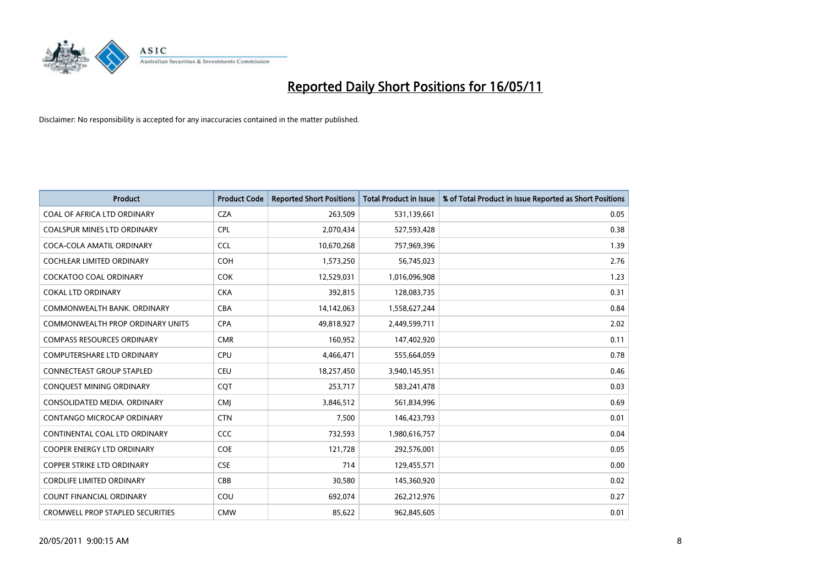

| <b>Product</b>                          | <b>Product Code</b> | <b>Reported Short Positions</b> | <b>Total Product in Issue</b> | % of Total Product in Issue Reported as Short Positions |
|-----------------------------------------|---------------------|---------------------------------|-------------------------------|---------------------------------------------------------|
| COAL OF AFRICA LTD ORDINARY             | <b>CZA</b>          | 263,509                         | 531,139,661                   | 0.05                                                    |
| <b>COALSPUR MINES LTD ORDINARY</b>      | <b>CPL</b>          | 2,070,434                       | 527,593,428                   | 0.38                                                    |
| COCA-COLA AMATIL ORDINARY               | CCL                 | 10,670,268                      | 757,969,396                   | 1.39                                                    |
| COCHLEAR LIMITED ORDINARY               | <b>COH</b>          | 1,573,250                       | 56,745,023                    | 2.76                                                    |
| <b>COCKATOO COAL ORDINARY</b>           | <b>COK</b>          | 12,529,031                      | 1,016,096,908                 | 1.23                                                    |
| <b>COKAL LTD ORDINARY</b>               | <b>CKA</b>          | 392,815                         | 128,083,735                   | 0.31                                                    |
| COMMONWEALTH BANK, ORDINARY             | CBA                 | 14,142,063                      | 1,558,627,244                 | 0.84                                                    |
| <b>COMMONWEALTH PROP ORDINARY UNITS</b> | <b>CPA</b>          | 49,818,927                      | 2,449,599,711                 | 2.02                                                    |
| <b>COMPASS RESOURCES ORDINARY</b>       | <b>CMR</b>          | 160,952                         | 147,402,920                   | 0.11                                                    |
| <b>COMPUTERSHARE LTD ORDINARY</b>       | <b>CPU</b>          | 4,466,471                       | 555,664,059                   | 0.78                                                    |
| <b>CONNECTEAST GROUP STAPLED</b>        | CEU                 | 18,257,450                      | 3,940,145,951                 | 0.46                                                    |
| CONQUEST MINING ORDINARY                | CQT                 | 253,717                         | 583,241,478                   | 0.03                                                    |
| CONSOLIDATED MEDIA. ORDINARY            | <b>CMI</b>          | 3,846,512                       | 561,834,996                   | 0.69                                                    |
| <b>CONTANGO MICROCAP ORDINARY</b>       | <b>CTN</b>          | 7,500                           | 146,423,793                   | 0.01                                                    |
| CONTINENTAL COAL LTD ORDINARY           | CCC                 | 732,593                         | 1,980,616,757                 | 0.04                                                    |
| <b>COOPER ENERGY LTD ORDINARY</b>       | <b>COE</b>          | 121,728                         | 292,576,001                   | 0.05                                                    |
| COPPER STRIKE LTD ORDINARY              | <b>CSE</b>          | 714                             | 129,455,571                   | 0.00                                                    |
| <b>CORDLIFE LIMITED ORDINARY</b>        | CBB                 | 30,580                          | 145,360,920                   | 0.02                                                    |
| <b>COUNT FINANCIAL ORDINARY</b>         | COU                 | 692,074                         | 262,212,976                   | 0.27                                                    |
| <b>CROMWELL PROP STAPLED SECURITIES</b> | <b>CMW</b>          | 85,622                          | 962,845,605                   | 0.01                                                    |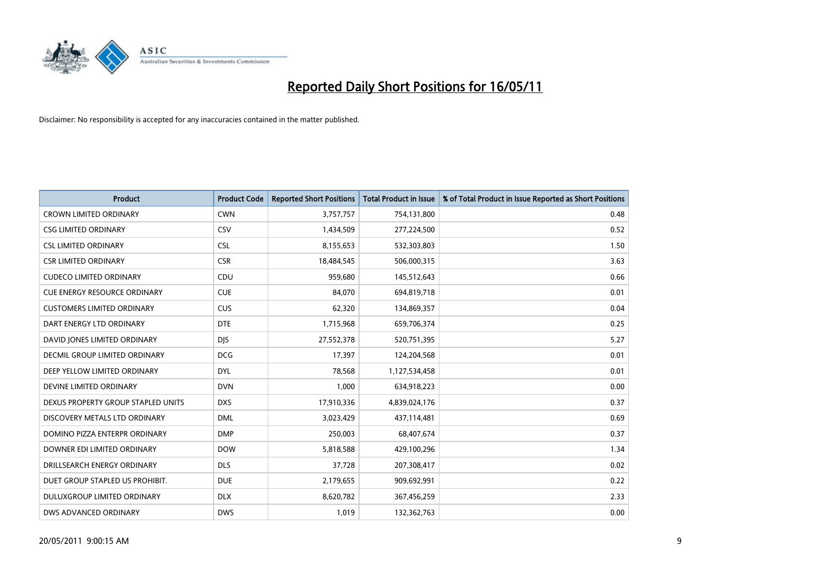

| <b>Product</b>                      | <b>Product Code</b> | <b>Reported Short Positions</b> | Total Product in Issue | % of Total Product in Issue Reported as Short Positions |
|-------------------------------------|---------------------|---------------------------------|------------------------|---------------------------------------------------------|
| <b>CROWN LIMITED ORDINARY</b>       | <b>CWN</b>          | 3,757,757                       | 754,131,800            | 0.48                                                    |
| <b>CSG LIMITED ORDINARY</b>         | CSV                 | 1,434,509                       | 277,224,500            | 0.52                                                    |
| <b>CSL LIMITED ORDINARY</b>         | <b>CSL</b>          | 8,155,653                       | 532,303,803            | 1.50                                                    |
| <b>CSR LIMITED ORDINARY</b>         | <b>CSR</b>          | 18,484,545                      | 506,000,315            | 3.63                                                    |
| <b>CUDECO LIMITED ORDINARY</b>      | CDU                 | 959.680                         | 145,512,643            | 0.66                                                    |
| <b>CUE ENERGY RESOURCE ORDINARY</b> | <b>CUE</b>          | 84,070                          | 694,819,718            | 0.01                                                    |
| <b>CUSTOMERS LIMITED ORDINARY</b>   | CUS                 | 62,320                          | 134,869,357            | 0.04                                                    |
| DART ENERGY LTD ORDINARY            | <b>DTE</b>          | 1,715,968                       | 659,706,374            | 0.25                                                    |
| DAVID JONES LIMITED ORDINARY        | <b>DJS</b>          | 27,552,378                      | 520,751,395            | 5.27                                                    |
| DECMIL GROUP LIMITED ORDINARY       | <b>DCG</b>          | 17,397                          | 124,204,568            | 0.01                                                    |
| DEEP YELLOW LIMITED ORDINARY        | <b>DYL</b>          | 78,568                          | 1,127,534,458          | 0.01                                                    |
| DEVINE LIMITED ORDINARY             | <b>DVN</b>          | 1,000                           | 634,918,223            | 0.00                                                    |
| DEXUS PROPERTY GROUP STAPLED UNITS  | <b>DXS</b>          | 17,910,336                      | 4,839,024,176          | 0.37                                                    |
| DISCOVERY METALS LTD ORDINARY       | <b>DML</b>          | 3,023,429                       | 437,114,481            | 0.69                                                    |
| DOMINO PIZZA ENTERPR ORDINARY       | <b>DMP</b>          | 250,003                         | 68,407,674             | 0.37                                                    |
| DOWNER EDI LIMITED ORDINARY         | <b>DOW</b>          | 5,818,588                       | 429,100,296            | 1.34                                                    |
| DRILLSEARCH ENERGY ORDINARY         | <b>DLS</b>          | 37,728                          | 207,308,417            | 0.02                                                    |
| DUET GROUP STAPLED US PROHIBIT.     | <b>DUE</b>          | 2,179,655                       | 909,692,991            | 0.22                                                    |
| DULUXGROUP LIMITED ORDINARY         | <b>DLX</b>          | 8,620,782                       | 367,456,259            | 2.33                                                    |
| DWS ADVANCED ORDINARY               | <b>DWS</b>          | 1,019                           | 132,362,763            | 0.00                                                    |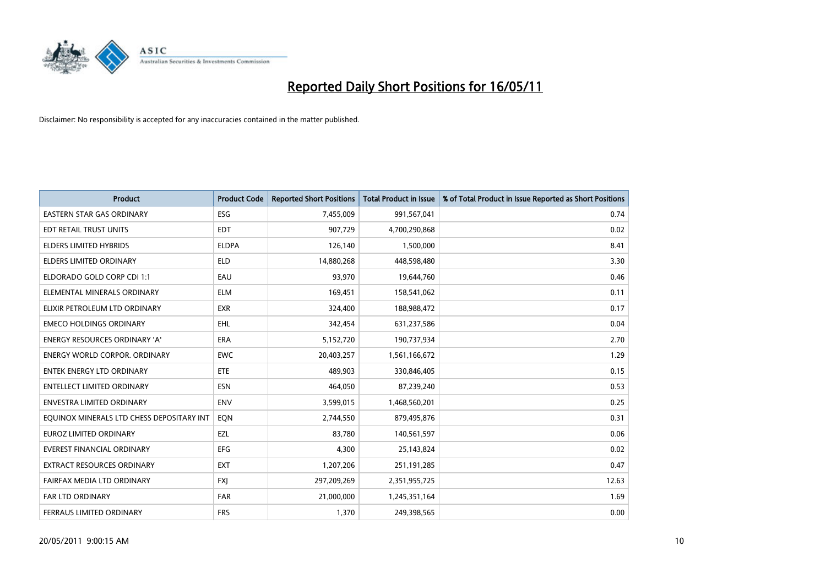

| <b>Product</b>                            | <b>Product Code</b> | <b>Reported Short Positions</b> | <b>Total Product in Issue</b> | % of Total Product in Issue Reported as Short Positions |
|-------------------------------------------|---------------------|---------------------------------|-------------------------------|---------------------------------------------------------|
| <b>EASTERN STAR GAS ORDINARY</b>          | <b>ESG</b>          | 7,455,009                       | 991,567,041                   | 0.74                                                    |
| EDT RETAIL TRUST UNITS                    | <b>EDT</b>          | 907,729                         | 4,700,290,868                 | 0.02                                                    |
| ELDERS LIMITED HYBRIDS                    | <b>ELDPA</b>        | 126,140                         | 1,500,000                     | 8.41                                                    |
| <b>ELDERS LIMITED ORDINARY</b>            | <b>ELD</b>          | 14,880,268                      | 448,598,480                   | 3.30                                                    |
| ELDORADO GOLD CORP CDI 1:1                | EAU                 | 93,970                          | 19,644,760                    | 0.46                                                    |
| ELEMENTAL MINERALS ORDINARY               | <b>ELM</b>          | 169,451                         | 158,541,062                   | 0.11                                                    |
| ELIXIR PETROLEUM LTD ORDINARY             | <b>EXR</b>          | 324,400                         | 188,988,472                   | 0.17                                                    |
| <b>EMECO HOLDINGS ORDINARY</b>            | <b>EHL</b>          | 342,454                         | 631,237,586                   | 0.04                                                    |
| <b>ENERGY RESOURCES ORDINARY 'A'</b>      | <b>ERA</b>          | 5,152,720                       | 190,737,934                   | 2.70                                                    |
| <b>ENERGY WORLD CORPOR, ORDINARY</b>      | <b>EWC</b>          | 20,403,257                      | 1,561,166,672                 | 1.29                                                    |
| ENTEK ENERGY LTD ORDINARY                 | <b>ETE</b>          | 489,903                         | 330,846,405                   | 0.15                                                    |
| ENTELLECT LIMITED ORDINARY                | <b>ESN</b>          | 464,050                         | 87,239,240                    | 0.53                                                    |
| <b>ENVESTRA LIMITED ORDINARY</b>          | <b>ENV</b>          | 3,599,015                       | 1,468,560,201                 | 0.25                                                    |
| EQUINOX MINERALS LTD CHESS DEPOSITARY INT | EQN                 | 2,744,550                       | 879,495,876                   | 0.31                                                    |
| <b>EUROZ LIMITED ORDINARY</b>             | EZL                 | 83,780                          | 140,561,597                   | 0.06                                                    |
| <b>EVEREST FINANCIAL ORDINARY</b>         | <b>EFG</b>          | 4,300                           | 25,143,824                    | 0.02                                                    |
| EXTRACT RESOURCES ORDINARY                | <b>EXT</b>          | 1,207,206                       | 251,191,285                   | 0.47                                                    |
| FAIRFAX MEDIA LTD ORDINARY                | <b>FXI</b>          | 297,209,269                     | 2,351,955,725                 | 12.63                                                   |
| FAR LTD ORDINARY                          | <b>FAR</b>          | 21,000,000                      | 1,245,351,164                 | 1.69                                                    |
| <b>FERRAUS LIMITED ORDINARY</b>           | <b>FRS</b>          | 1,370                           | 249,398,565                   | 0.00                                                    |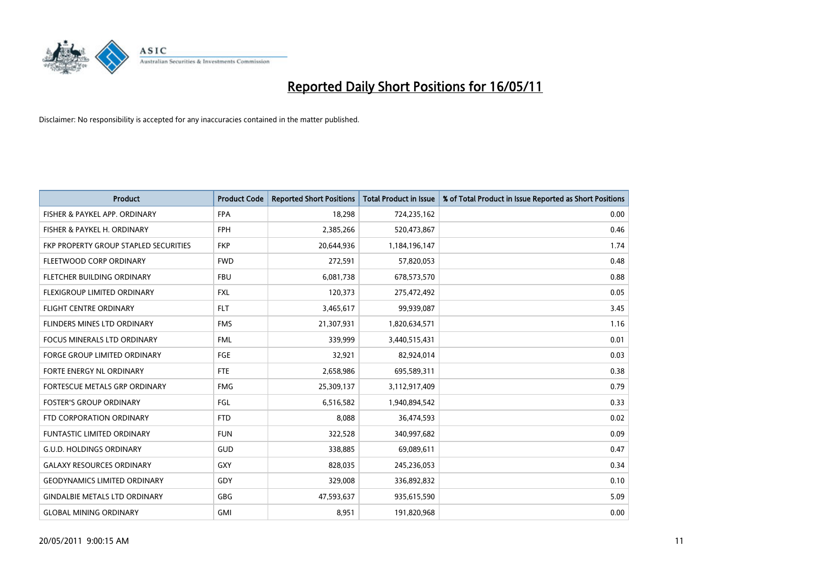

| <b>Product</b>                        | <b>Product Code</b> | <b>Reported Short Positions</b> | <b>Total Product in Issue</b> | % of Total Product in Issue Reported as Short Positions |
|---------------------------------------|---------------------|---------------------------------|-------------------------------|---------------------------------------------------------|
| FISHER & PAYKEL APP. ORDINARY         | <b>FPA</b>          | 18.298                          | 724,235,162                   | 0.00                                                    |
| FISHER & PAYKEL H. ORDINARY           | <b>FPH</b>          | 2,385,266                       | 520,473,867                   | 0.46                                                    |
| FKP PROPERTY GROUP STAPLED SECURITIES | <b>FKP</b>          | 20,644,936                      | 1,184,196,147                 | 1.74                                                    |
| FLEETWOOD CORP ORDINARY               | <b>FWD</b>          | 272,591                         | 57,820,053                    | 0.48                                                    |
| FLETCHER BUILDING ORDINARY            | <b>FBU</b>          | 6,081,738                       | 678,573,570                   | 0.88                                                    |
| <b>FLEXIGROUP LIMITED ORDINARY</b>    | <b>FXL</b>          | 120,373                         | 275,472,492                   | 0.05                                                    |
| <b>FLIGHT CENTRE ORDINARY</b>         | <b>FLT</b>          | 3,465,617                       | 99,939,087                    | 3.45                                                    |
| <b>FLINDERS MINES LTD ORDINARY</b>    | <b>FMS</b>          | 21,307,931                      | 1,820,634,571                 | 1.16                                                    |
| <b>FOCUS MINERALS LTD ORDINARY</b>    | <b>FML</b>          | 339.999                         | 3,440,515,431                 | 0.01                                                    |
| <b>FORGE GROUP LIMITED ORDINARY</b>   | <b>FGE</b>          | 32,921                          | 82,924,014                    | 0.03                                                    |
| FORTE ENERGY NL ORDINARY              | <b>FTE</b>          | 2,658,986                       | 695,589,311                   | 0.38                                                    |
| FORTESCUE METALS GRP ORDINARY         | <b>FMG</b>          | 25,309,137                      | 3,112,917,409                 | 0.79                                                    |
| <b>FOSTER'S GROUP ORDINARY</b>        | FGL                 | 6,516,582                       | 1,940,894,542                 | 0.33                                                    |
| FTD CORPORATION ORDINARY              | <b>FTD</b>          | 8,088                           | 36,474,593                    | 0.02                                                    |
| <b>FUNTASTIC LIMITED ORDINARY</b>     | <b>FUN</b>          | 322,528                         | 340,997,682                   | 0.09                                                    |
| <b>G.U.D. HOLDINGS ORDINARY</b>       | GUD                 | 338,885                         | 69,089,611                    | 0.47                                                    |
| <b>GALAXY RESOURCES ORDINARY</b>      | GXY                 | 828,035                         | 245,236,053                   | 0.34                                                    |
| <b>GEODYNAMICS LIMITED ORDINARY</b>   | <b>GDY</b>          | 329,008                         | 336,892,832                   | 0.10                                                    |
| <b>GINDALBIE METALS LTD ORDINARY</b>  | <b>GBG</b>          | 47,593,637                      | 935,615,590                   | 5.09                                                    |
| <b>GLOBAL MINING ORDINARY</b>         | <b>GMI</b>          | 8.951                           | 191,820,968                   | 0.00                                                    |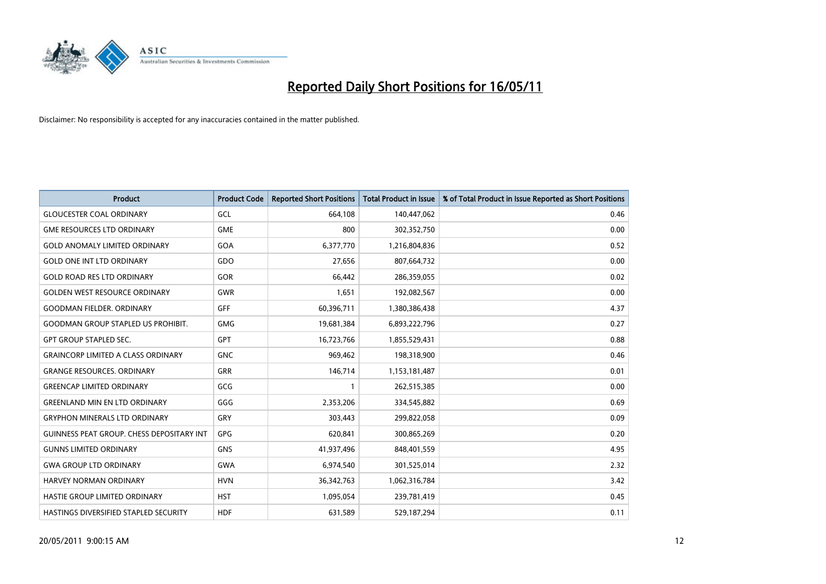

| <b>Product</b>                                   | <b>Product Code</b> | <b>Reported Short Positions</b> | <b>Total Product in Issue</b> | % of Total Product in Issue Reported as Short Positions |
|--------------------------------------------------|---------------------|---------------------------------|-------------------------------|---------------------------------------------------------|
| <b>GLOUCESTER COAL ORDINARY</b>                  | GCL                 | 664,108                         | 140,447,062                   | 0.46                                                    |
| <b>GME RESOURCES LTD ORDINARY</b>                | <b>GME</b>          | 800                             | 302,352,750                   | 0.00                                                    |
| <b>GOLD ANOMALY LIMITED ORDINARY</b>             | GOA                 | 6,377,770                       | 1,216,804,836                 | 0.52                                                    |
| <b>GOLD ONE INT LTD ORDINARY</b>                 | GDO                 | 27,656                          | 807,664,732                   | 0.00                                                    |
| <b>GOLD ROAD RES LTD ORDINARY</b>                | GOR                 | 66,442                          | 286,359,055                   | 0.02                                                    |
| <b>GOLDEN WEST RESOURCE ORDINARY</b>             | <b>GWR</b>          | 1,651                           | 192,082,567                   | 0.00                                                    |
| <b>GOODMAN FIELDER, ORDINARY</b>                 | <b>GFF</b>          | 60,396,711                      | 1,380,386,438                 | 4.37                                                    |
| <b>GOODMAN GROUP STAPLED US PROHIBIT.</b>        | <b>GMG</b>          | 19,681,384                      | 6,893,222,796                 | 0.27                                                    |
| <b>GPT GROUP STAPLED SEC.</b>                    | GPT                 | 16,723,766                      | 1,855,529,431                 | 0.88                                                    |
| <b>GRAINCORP LIMITED A CLASS ORDINARY</b>        | <b>GNC</b>          | 969,462                         | 198,318,900                   | 0.46                                                    |
| <b>GRANGE RESOURCES. ORDINARY</b>                | <b>GRR</b>          | 146,714                         | 1,153,181,487                 | 0.01                                                    |
| <b>GREENCAP LIMITED ORDINARY</b>                 | GCG                 |                                 | 262,515,385                   | 0.00                                                    |
| <b>GREENLAND MIN EN LTD ORDINARY</b>             | GGG                 | 2,353,206                       | 334,545,882                   | 0.69                                                    |
| <b>GRYPHON MINERALS LTD ORDINARY</b>             | GRY                 | 303,443                         | 299,822,058                   | 0.09                                                    |
| <b>GUINNESS PEAT GROUP. CHESS DEPOSITARY INT</b> | GPG                 | 620,841                         | 300,865,269                   | 0.20                                                    |
| <b>GUNNS LIMITED ORDINARY</b>                    | <b>GNS</b>          | 41,937,496                      | 848,401,559                   | 4.95                                                    |
| <b>GWA GROUP LTD ORDINARY</b>                    | <b>GWA</b>          | 6,974,540                       | 301,525,014                   | 2.32                                                    |
| <b>HARVEY NORMAN ORDINARY</b>                    | <b>HVN</b>          | 36, 342, 763                    | 1,062,316,784                 | 3.42                                                    |
| HASTIE GROUP LIMITED ORDINARY                    | <b>HST</b>          | 1,095,054                       | 239,781,419                   | 0.45                                                    |
| HASTINGS DIVERSIFIED STAPLED SECURITY            | <b>HDF</b>          | 631,589                         | 529,187,294                   | 0.11                                                    |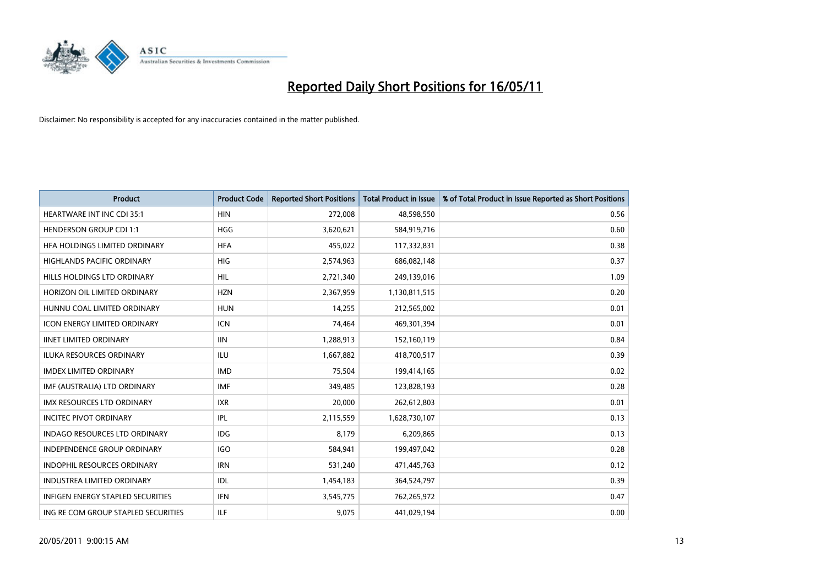

| <b>Product</b>                           | <b>Product Code</b> | <b>Reported Short Positions</b> | <b>Total Product in Issue</b> | % of Total Product in Issue Reported as Short Positions |
|------------------------------------------|---------------------|---------------------------------|-------------------------------|---------------------------------------------------------|
| <b>HEARTWARE INT INC CDI 35:1</b>        | <b>HIN</b>          | 272,008                         | 48,598,550                    | 0.56                                                    |
| <b>HENDERSON GROUP CDI 1:1</b>           | <b>HGG</b>          | 3,620,621                       | 584,919,716                   | 0.60                                                    |
| HFA HOLDINGS LIMITED ORDINARY            | <b>HFA</b>          | 455,022                         | 117,332,831                   | 0.38                                                    |
| HIGHLANDS PACIFIC ORDINARY               | <b>HIG</b>          | 2,574,963                       | 686,082,148                   | 0.37                                                    |
| HILLS HOLDINGS LTD ORDINARY              | <b>HIL</b>          | 2,721,340                       | 249,139,016                   | 1.09                                                    |
| HORIZON OIL LIMITED ORDINARY             | <b>HZN</b>          | 2,367,959                       | 1,130,811,515                 | 0.20                                                    |
| HUNNU COAL LIMITED ORDINARY              | <b>HUN</b>          | 14,255                          | 212,565,002                   | 0.01                                                    |
| ICON ENERGY LIMITED ORDINARY             | <b>ICN</b>          | 74,464                          | 469,301,394                   | 0.01                                                    |
| <b>IINET LIMITED ORDINARY</b>            | <b>IIN</b>          | 1,288,913                       | 152,160,119                   | 0.84                                                    |
| <b>ILUKA RESOURCES ORDINARY</b>          | <b>ILU</b>          | 1,667,882                       | 418,700,517                   | 0.39                                                    |
| <b>IMDEX LIMITED ORDINARY</b>            | <b>IMD</b>          | 75,504                          | 199,414,165                   | 0.02                                                    |
| IMF (AUSTRALIA) LTD ORDINARY             | <b>IMF</b>          | 349,485                         | 123,828,193                   | 0.28                                                    |
| IMX RESOURCES LTD ORDINARY               | <b>IXR</b>          | 20,000                          | 262,612,803                   | 0.01                                                    |
| <b>INCITEC PIVOT ORDINARY</b>            | <b>IPL</b>          | 2,115,559                       | 1,628,730,107                 | 0.13                                                    |
| <b>INDAGO RESOURCES LTD ORDINARY</b>     | <b>IDG</b>          | 8,179                           | 6,209,865                     | 0.13                                                    |
| <b>INDEPENDENCE GROUP ORDINARY</b>       | <b>IGO</b>          | 584,941                         | 199,497,042                   | 0.28                                                    |
| INDOPHIL RESOURCES ORDINARY              | <b>IRN</b>          | 531,240                         | 471,445,763                   | 0.12                                                    |
| <b>INDUSTREA LIMITED ORDINARY</b>        | <b>IDL</b>          | 1,454,183                       | 364,524,797                   | 0.39                                                    |
| <b>INFIGEN ENERGY STAPLED SECURITIES</b> | <b>IFN</b>          | 3,545,775                       | 762,265,972                   | 0.47                                                    |
| ING RE COM GROUP STAPLED SECURITIES      | <b>ILF</b>          | 9,075                           | 441,029,194                   | 0.00                                                    |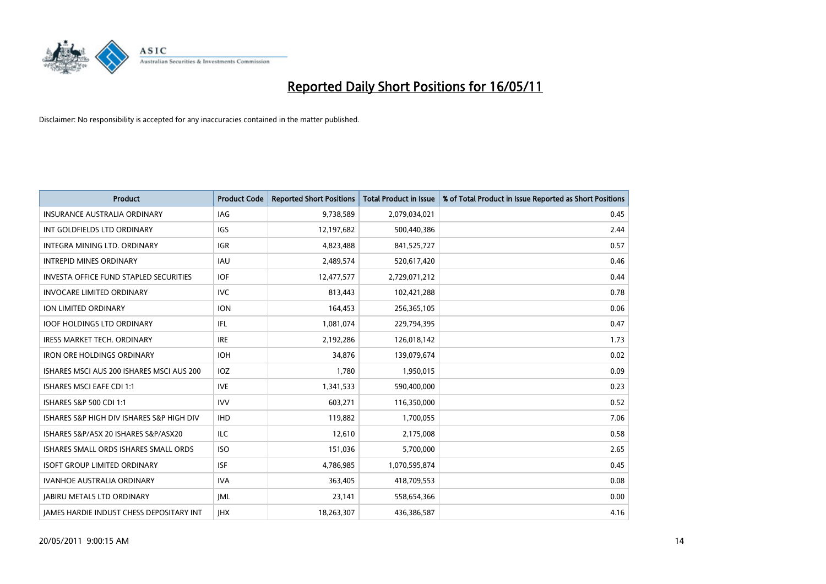

| <b>Product</b>                                  | <b>Product Code</b> | <b>Reported Short Positions</b> | Total Product in Issue | % of Total Product in Issue Reported as Short Positions |
|-------------------------------------------------|---------------------|---------------------------------|------------------------|---------------------------------------------------------|
| <b>INSURANCE AUSTRALIA ORDINARY</b>             | <b>IAG</b>          | 9,738,589                       | 2,079,034,021          | 0.45                                                    |
| INT GOLDFIELDS LTD ORDINARY                     | <b>IGS</b>          | 12,197,682                      | 500,440,386            | 2.44                                                    |
| INTEGRA MINING LTD. ORDINARY                    | <b>IGR</b>          | 4,823,488                       | 841,525,727            | 0.57                                                    |
| <b>INTREPID MINES ORDINARY</b>                  | <b>IAU</b>          | 2,489,574                       | 520,617,420            | 0.46                                                    |
| <b>INVESTA OFFICE FUND STAPLED SECURITIES</b>   | <b>IOF</b>          | 12,477,577                      | 2,729,071,212          | 0.44                                                    |
| <b>INVOCARE LIMITED ORDINARY</b>                | <b>IVC</b>          | 813,443                         | 102,421,288            | 0.78                                                    |
| ION LIMITED ORDINARY                            | <b>ION</b>          | 164,453                         | 256,365,105            | 0.06                                                    |
| <b>IOOF HOLDINGS LTD ORDINARY</b>               | <b>IFL</b>          | 1,081,074                       | 229,794,395            | 0.47                                                    |
| <b>IRESS MARKET TECH. ORDINARY</b>              | <b>IRE</b>          | 2,192,286                       | 126,018,142            | 1.73                                                    |
| <b>IRON ORE HOLDINGS ORDINARY</b>               | <b>IOH</b>          | 34.876                          | 139,079,674            | 0.02                                                    |
| ISHARES MSCI AUS 200 ISHARES MSCI AUS 200       | <b>IOZ</b>          | 1,780                           | 1,950,015              | 0.09                                                    |
| <b>ISHARES MSCI EAFE CDI 1:1</b>                | <b>IVE</b>          | 1,341,533                       | 590,400,000            | 0.23                                                    |
| ISHARES S&P 500 CDI 1:1                         | <b>IVV</b>          | 603,271                         | 116,350,000            | 0.52                                                    |
| ISHARES S&P HIGH DIV ISHARES S&P HIGH DIV       | <b>IHD</b>          | 119,882                         | 1,700,055              | 7.06                                                    |
| ISHARES S&P/ASX 20 ISHARES S&P/ASX20            | <b>ILC</b>          | 12,610                          | 2,175,008              | 0.58                                                    |
| ISHARES SMALL ORDS ISHARES SMALL ORDS           | <b>ISO</b>          | 151,036                         | 5,700,000              | 2.65                                                    |
| <b>ISOFT GROUP LIMITED ORDINARY</b>             | <b>ISF</b>          | 4,786,985                       | 1,070,595,874          | 0.45                                                    |
| IVANHOE AUSTRALIA ORDINARY                      | <b>IVA</b>          | 363,405                         | 418,709,553            | 0.08                                                    |
| <b>IABIRU METALS LTD ORDINARY</b>               | <b>JML</b>          | 23,141                          | 558,654,366            | 0.00                                                    |
| <b>IAMES HARDIE INDUST CHESS DEPOSITARY INT</b> | <b>JHX</b>          | 18,263,307                      | 436,386,587            | 4.16                                                    |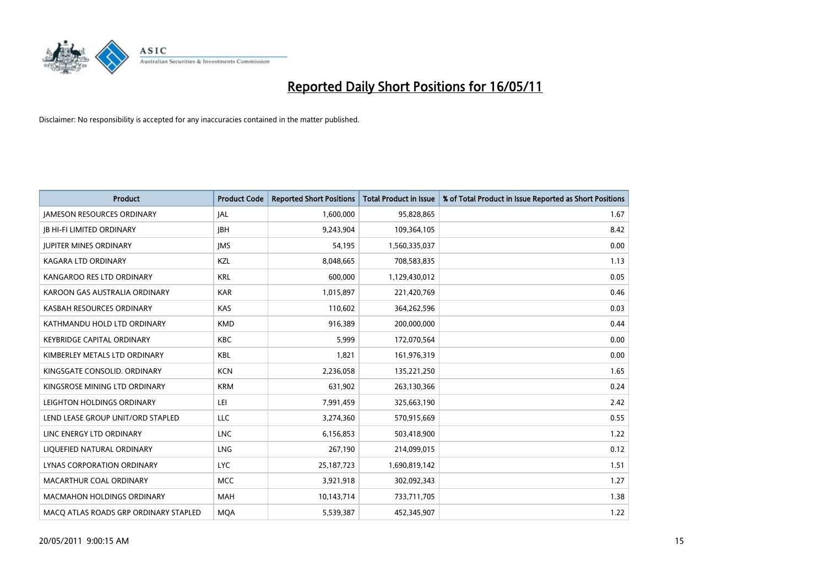

| <b>Product</b>                        | <b>Product Code</b> | <b>Reported Short Positions</b> | Total Product in Issue | % of Total Product in Issue Reported as Short Positions |
|---------------------------------------|---------------------|---------------------------------|------------------------|---------------------------------------------------------|
| <b>JAMESON RESOURCES ORDINARY</b>     | JAL                 | 1,600,000                       | 95,828,865             | 1.67                                                    |
| <b>IB HI-FI LIMITED ORDINARY</b>      | <b>IBH</b>          | 9,243,904                       | 109,364,105            | 8.42                                                    |
| <b>JUPITER MINES ORDINARY</b>         | <b>IMS</b>          | 54,195                          | 1,560,335,037          | 0.00                                                    |
| KAGARA LTD ORDINARY                   | KZL                 | 8,048,665                       | 708,583,835            | 1.13                                                    |
| KANGAROO RES LTD ORDINARY             | <b>KRL</b>          | 600,000                         | 1,129,430,012          | 0.05                                                    |
| KAROON GAS AUSTRALIA ORDINARY         | <b>KAR</b>          | 1,015,897                       | 221,420,769            | 0.46                                                    |
| KASBAH RESOURCES ORDINARY             | <b>KAS</b>          | 110,602                         | 364,262,596            | 0.03                                                    |
| KATHMANDU HOLD LTD ORDINARY           | <b>KMD</b>          | 916,389                         | 200,000,000            | 0.44                                                    |
| <b>KEYBRIDGE CAPITAL ORDINARY</b>     | <b>KBC</b>          | 5,999                           | 172,070,564            | 0.00                                                    |
| KIMBERLEY METALS LTD ORDINARY         | <b>KBL</b>          | 1,821                           | 161,976,319            | 0.00                                                    |
| KINGSGATE CONSOLID. ORDINARY          | <b>KCN</b>          | 2,236,058                       | 135,221,250            | 1.65                                                    |
| KINGSROSE MINING LTD ORDINARY         | <b>KRM</b>          | 631,902                         | 263,130,366            | 0.24                                                    |
| LEIGHTON HOLDINGS ORDINARY            | LEI                 | 7,991,459                       | 325,663,190            | 2.42                                                    |
| LEND LEASE GROUP UNIT/ORD STAPLED     | LLC                 | 3,274,360                       | 570,915,669            | 0.55                                                    |
| LINC ENERGY LTD ORDINARY              | <b>LNC</b>          | 6,156,853                       | 503,418,900            | 1.22                                                    |
| LIQUEFIED NATURAL ORDINARY            | <b>LNG</b>          | 267,190                         | 214,099,015            | 0.12                                                    |
| LYNAS CORPORATION ORDINARY            | <b>LYC</b>          | 25, 187, 723                    | 1,690,819,142          | 1.51                                                    |
| MACARTHUR COAL ORDINARY               | <b>MCC</b>          | 3,921,918                       | 302,092,343            | 1.27                                                    |
| <b>MACMAHON HOLDINGS ORDINARY</b>     | <b>MAH</b>          | 10,143,714                      | 733,711,705            | 1.38                                                    |
| MACO ATLAS ROADS GRP ORDINARY STAPLED | <b>MOA</b>          | 5,539,387                       | 452,345,907            | 1.22                                                    |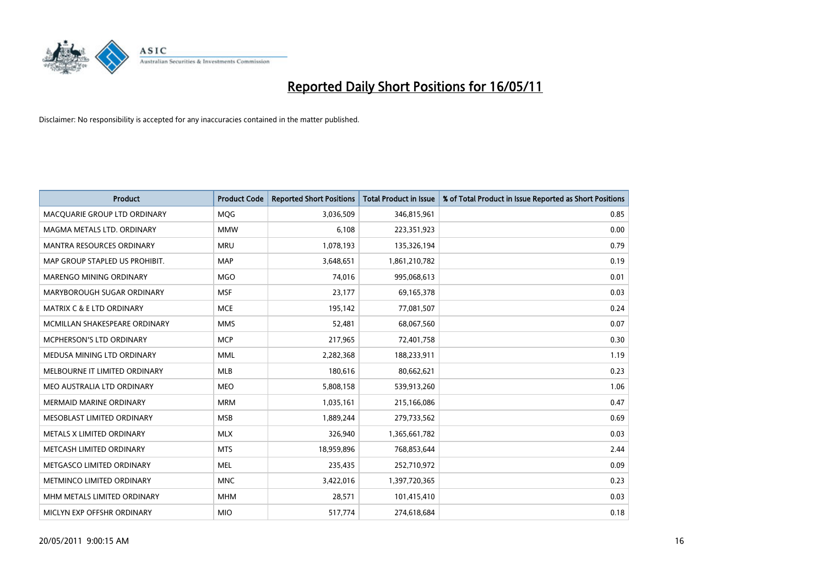

| <b>Product</b>                       | <b>Product Code</b> | <b>Reported Short Positions</b> | <b>Total Product in Issue</b> | % of Total Product in Issue Reported as Short Positions |
|--------------------------------------|---------------------|---------------------------------|-------------------------------|---------------------------------------------------------|
| MACQUARIE GROUP LTD ORDINARY         | <b>MQG</b>          | 3,036,509                       | 346,815,961                   | 0.85                                                    |
| MAGMA METALS LTD. ORDINARY           | <b>MMW</b>          | 6,108                           | 223,351,923                   | 0.00                                                    |
| <b>MANTRA RESOURCES ORDINARY</b>     | <b>MRU</b>          | 1,078,193                       | 135,326,194                   | 0.79                                                    |
| MAP GROUP STAPLED US PROHIBIT.       | <b>MAP</b>          | 3,648,651                       | 1,861,210,782                 | 0.19                                                    |
| <b>MARENGO MINING ORDINARY</b>       | <b>MGO</b>          | 74,016                          | 995,068,613                   | 0.01                                                    |
| MARYBOROUGH SUGAR ORDINARY           | <b>MSF</b>          | 23,177                          | 69,165,378                    | 0.03                                                    |
| <b>MATRIX C &amp; E LTD ORDINARY</b> | <b>MCE</b>          | 195,142                         | 77,081,507                    | 0.24                                                    |
| MCMILLAN SHAKESPEARE ORDINARY        | <b>MMS</b>          | 52,481                          | 68,067,560                    | 0.07                                                    |
| <b>MCPHERSON'S LTD ORDINARY</b>      | <b>MCP</b>          | 217,965                         | 72,401,758                    | 0.30                                                    |
| MEDUSA MINING LTD ORDINARY           | <b>MML</b>          | 2,282,368                       | 188,233,911                   | 1.19                                                    |
| MELBOURNE IT LIMITED ORDINARY        | MLB                 | 180,616                         | 80,662,621                    | 0.23                                                    |
| MEO AUSTRALIA LTD ORDINARY           | <b>MEO</b>          | 5,808,158                       | 539,913,260                   | 1.06                                                    |
| MERMAID MARINE ORDINARY              | <b>MRM</b>          | 1,035,161                       | 215,166,086                   | 0.47                                                    |
| MESOBLAST LIMITED ORDINARY           | <b>MSB</b>          | 1,889,244                       | 279,733,562                   | 0.69                                                    |
| METALS X LIMITED ORDINARY            | <b>MLX</b>          | 326,940                         | 1,365,661,782                 | 0.03                                                    |
| METCASH LIMITED ORDINARY             | <b>MTS</b>          | 18,959,896                      | 768,853,644                   | 2.44                                                    |
| METGASCO LIMITED ORDINARY            | <b>MEL</b>          | 235,435                         | 252,710,972                   | 0.09                                                    |
| METMINCO LIMITED ORDINARY            | <b>MNC</b>          | 3,422,016                       | 1,397,720,365                 | 0.23                                                    |
| MHM METALS LIMITED ORDINARY          | <b>MHM</b>          | 28,571                          | 101,415,410                   | 0.03                                                    |
| MICLYN EXP OFFSHR ORDINARY           | <b>MIO</b>          | 517,774                         | 274,618,684                   | 0.18                                                    |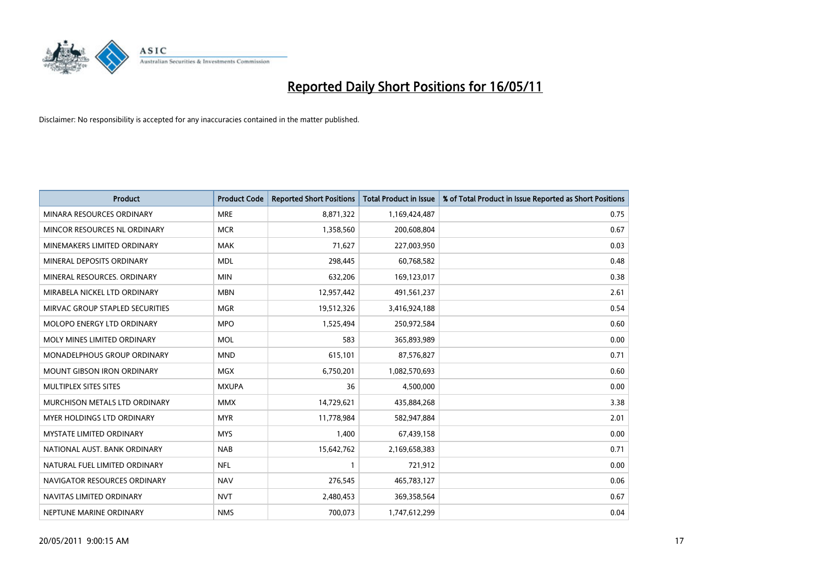

| <b>Product</b>                    | <b>Product Code</b> | <b>Reported Short Positions</b> | Total Product in Issue | % of Total Product in Issue Reported as Short Positions |
|-----------------------------------|---------------------|---------------------------------|------------------------|---------------------------------------------------------|
| MINARA RESOURCES ORDINARY         | <b>MRE</b>          | 8,871,322                       | 1,169,424,487          | 0.75                                                    |
| MINCOR RESOURCES NL ORDINARY      | <b>MCR</b>          | 1,358,560                       | 200,608,804            | 0.67                                                    |
| MINEMAKERS LIMITED ORDINARY       | <b>MAK</b>          | 71,627                          | 227,003,950            | 0.03                                                    |
| MINERAL DEPOSITS ORDINARY         | <b>MDL</b>          | 298,445                         | 60,768,582             | 0.48                                                    |
| MINERAL RESOURCES, ORDINARY       | <b>MIN</b>          | 632,206                         | 169,123,017            | 0.38                                                    |
| MIRABELA NICKEL LTD ORDINARY      | <b>MBN</b>          | 12,957,442                      | 491,561,237            | 2.61                                                    |
| MIRVAC GROUP STAPLED SECURITIES   | <b>MGR</b>          | 19,512,326                      | 3,416,924,188          | 0.54                                                    |
| <b>MOLOPO ENERGY LTD ORDINARY</b> | <b>MPO</b>          | 1,525,494                       | 250,972,584            | 0.60                                                    |
| MOLY MINES LIMITED ORDINARY       | <b>MOL</b>          | 583                             | 365,893,989            | 0.00                                                    |
| MONADELPHOUS GROUP ORDINARY       | <b>MND</b>          | 615,101                         | 87,576,827             | 0.71                                                    |
| MOUNT GIBSON IRON ORDINARY        | MGX                 | 6,750,201                       | 1,082,570,693          | 0.60                                                    |
| MULTIPLEX SITES SITES             | <b>MXUPA</b>        | 36                              | 4,500,000              | 0.00                                                    |
| MURCHISON METALS LTD ORDINARY     | <b>MMX</b>          | 14,729,621                      | 435,884,268            | 3.38                                                    |
| <b>MYER HOLDINGS LTD ORDINARY</b> | <b>MYR</b>          | 11,778,984                      | 582,947,884            | 2.01                                                    |
| <b>MYSTATE LIMITED ORDINARY</b>   | <b>MYS</b>          | 1,400                           | 67,439,158             | 0.00                                                    |
| NATIONAL AUST. BANK ORDINARY      | <b>NAB</b>          | 15,642,762                      | 2,169,658,383          | 0.71                                                    |
| NATURAL FUEL LIMITED ORDINARY     | <b>NFL</b>          |                                 | 721,912                | 0.00                                                    |
| NAVIGATOR RESOURCES ORDINARY      | <b>NAV</b>          | 276,545                         | 465,783,127            | 0.06                                                    |
| NAVITAS LIMITED ORDINARY          | <b>NVT</b>          | 2,480,453                       | 369,358,564            | 0.67                                                    |
| NEPTUNE MARINE ORDINARY           | <b>NMS</b>          | 700,073                         | 1,747,612,299          | 0.04                                                    |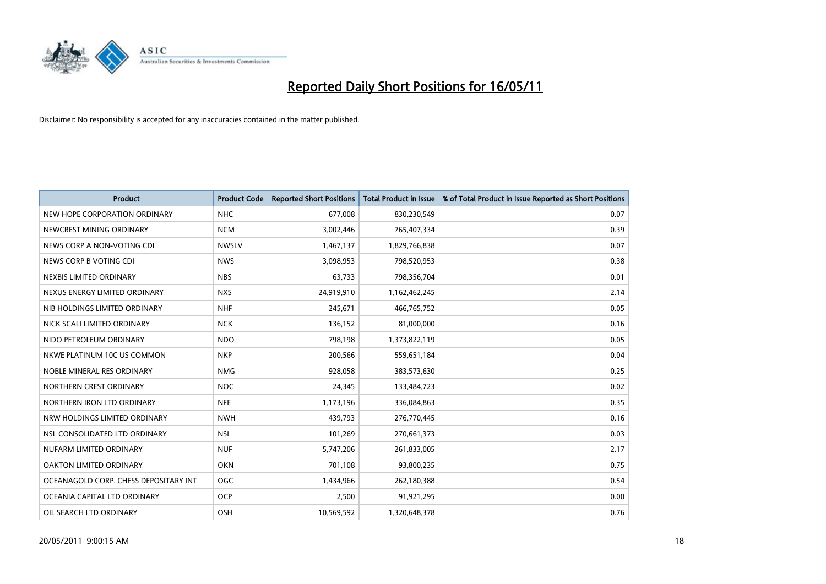

| <b>Product</b>                        | <b>Product Code</b> | <b>Reported Short Positions</b> | <b>Total Product in Issue</b> | % of Total Product in Issue Reported as Short Positions |
|---------------------------------------|---------------------|---------------------------------|-------------------------------|---------------------------------------------------------|
| NEW HOPE CORPORATION ORDINARY         | <b>NHC</b>          | 677.008                         | 830,230,549                   | 0.07                                                    |
| NEWCREST MINING ORDINARY              | <b>NCM</b>          | 3,002,446                       | 765,407,334                   | 0.39                                                    |
| NEWS CORP A NON-VOTING CDI            | <b>NWSLV</b>        | 1,467,137                       | 1,829,766,838                 | 0.07                                                    |
| NEWS CORP B VOTING CDI                | <b>NWS</b>          | 3,098,953                       | 798,520,953                   | 0.38                                                    |
| NEXBIS LIMITED ORDINARY               | <b>NBS</b>          | 63,733                          | 798,356,704                   | 0.01                                                    |
| NEXUS ENERGY LIMITED ORDINARY         | <b>NXS</b>          | 24,919,910                      | 1,162,462,245                 | 2.14                                                    |
| NIB HOLDINGS LIMITED ORDINARY         | <b>NHF</b>          | 245,671                         | 466,765,752                   | 0.05                                                    |
| NICK SCALI LIMITED ORDINARY           | <b>NCK</b>          | 136,152                         | 81,000,000                    | 0.16                                                    |
| NIDO PETROLEUM ORDINARY               | <b>NDO</b>          | 798,198                         | 1,373,822,119                 | 0.05                                                    |
| NKWE PLATINUM 10C US COMMON           | <b>NKP</b>          | 200,566                         | 559,651,184                   | 0.04                                                    |
| NOBLE MINERAL RES ORDINARY            | <b>NMG</b>          | 928,058                         | 383,573,630                   | 0.25                                                    |
| NORTHERN CREST ORDINARY               | <b>NOC</b>          | 24,345                          | 133,484,723                   | 0.02                                                    |
| NORTHERN IRON LTD ORDINARY            | <b>NFE</b>          | 1,173,196                       | 336,084,863                   | 0.35                                                    |
| NRW HOLDINGS LIMITED ORDINARY         | <b>NWH</b>          | 439.793                         | 276,770,445                   | 0.16                                                    |
| NSL CONSOLIDATED LTD ORDINARY         | <b>NSL</b>          | 101,269                         | 270,661,373                   | 0.03                                                    |
| NUFARM LIMITED ORDINARY               | <b>NUF</b>          | 5,747,206                       | 261,833,005                   | 2.17                                                    |
| OAKTON LIMITED ORDINARY               | <b>OKN</b>          | 701,108                         | 93,800,235                    | 0.75                                                    |
| OCEANAGOLD CORP. CHESS DEPOSITARY INT | <b>OGC</b>          | 1,434,966                       | 262,180,388                   | 0.54                                                    |
| OCEANIA CAPITAL LTD ORDINARY          | <b>OCP</b>          | 2,500                           | 91,921,295                    | 0.00                                                    |
| OIL SEARCH LTD ORDINARY               | OSH                 | 10,569,592                      | 1,320,648,378                 | 0.76                                                    |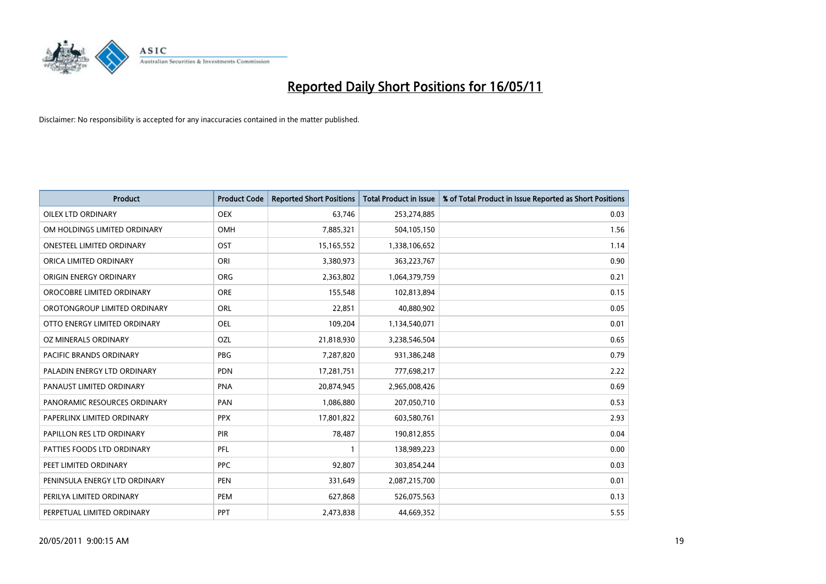

| <b>Product</b>                   | <b>Product Code</b> | <b>Reported Short Positions</b> | Total Product in Issue | % of Total Product in Issue Reported as Short Positions |
|----------------------------------|---------------------|---------------------------------|------------------------|---------------------------------------------------------|
| <b>OILEX LTD ORDINARY</b>        | <b>OEX</b>          | 63,746                          | 253,274,885            | 0.03                                                    |
| OM HOLDINGS LIMITED ORDINARY     | <b>OMH</b>          | 7,885,321                       | 504,105,150            | 1.56                                                    |
| <b>ONESTEEL LIMITED ORDINARY</b> | OST                 | 15,165,552                      | 1,338,106,652          | 1.14                                                    |
| ORICA LIMITED ORDINARY           | ORI                 | 3,380,973                       | 363,223,767            | 0.90                                                    |
| ORIGIN ENERGY ORDINARY           | <b>ORG</b>          | 2,363,802                       | 1,064,379,759          | 0.21                                                    |
| OROCOBRE LIMITED ORDINARY        | <b>ORE</b>          | 155,548                         | 102,813,894            | 0.15                                                    |
| OROTONGROUP LIMITED ORDINARY     | ORL                 | 22,851                          | 40,880,902             | 0.05                                                    |
| OTTO ENERGY LIMITED ORDINARY     | OEL                 | 109,204                         | 1,134,540,071          | 0.01                                                    |
| OZ MINERALS ORDINARY             | OZL                 | 21,818,930                      | 3,238,546,504          | 0.65                                                    |
| <b>PACIFIC BRANDS ORDINARY</b>   | <b>PBG</b>          | 7,287,820                       | 931,386,248            | 0.79                                                    |
| PALADIN ENERGY LTD ORDINARY      | <b>PDN</b>          | 17,281,751                      | 777,698,217            | 2.22                                                    |
| PANAUST LIMITED ORDINARY         | <b>PNA</b>          | 20,874,945                      | 2,965,008,426          | 0.69                                                    |
| PANORAMIC RESOURCES ORDINARY     | PAN                 | 1,086,880                       | 207,050,710            | 0.53                                                    |
| PAPERLINX LIMITED ORDINARY       | <b>PPX</b>          | 17,801,822                      | 603,580,761            | 2.93                                                    |
| PAPILLON RES LTD ORDINARY        | PIR                 | 78,487                          | 190,812,855            | 0.04                                                    |
| PATTIES FOODS LTD ORDINARY       | PFL                 |                                 | 138,989,223            | 0.00                                                    |
| PEET LIMITED ORDINARY            | <b>PPC</b>          | 92,807                          | 303,854,244            | 0.03                                                    |
| PENINSULA ENERGY LTD ORDINARY    | <b>PEN</b>          | 331,649                         | 2,087,215,700          | 0.01                                                    |
| PERILYA LIMITED ORDINARY         | PEM                 | 627,868                         | 526,075,563            | 0.13                                                    |
| PERPETUAL LIMITED ORDINARY       | PPT                 | 2,473,838                       | 44,669,352             | 5.55                                                    |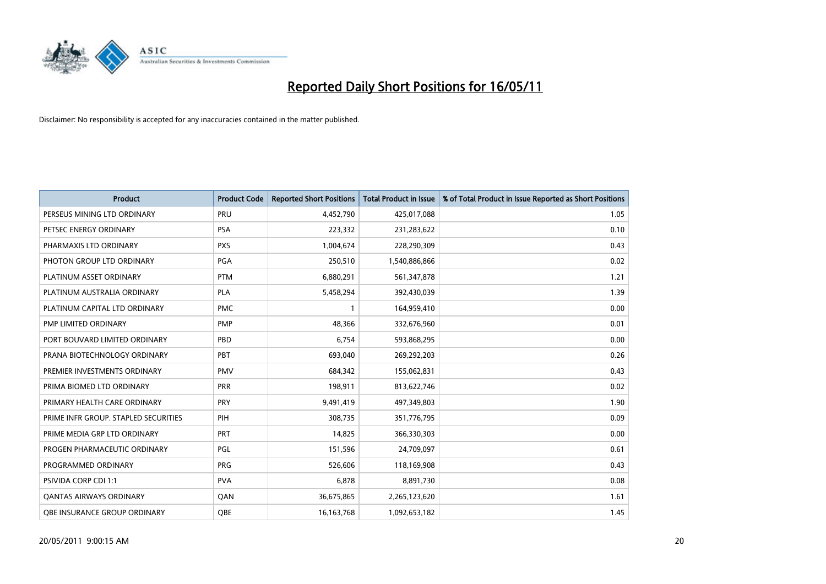

| <b>Product</b>                       | <b>Product Code</b> | <b>Reported Short Positions</b> | Total Product in Issue | % of Total Product in Issue Reported as Short Positions |
|--------------------------------------|---------------------|---------------------------------|------------------------|---------------------------------------------------------|
| PERSEUS MINING LTD ORDINARY          | PRU                 | 4,452,790                       | 425,017,088            | 1.05                                                    |
| PETSEC ENERGY ORDINARY               | PSA                 | 223,332                         | 231,283,622            | 0.10                                                    |
| PHARMAXIS LTD ORDINARY               | <b>PXS</b>          | 1,004,674                       | 228,290,309            | 0.43                                                    |
| PHOTON GROUP LTD ORDINARY            | PGA                 | 250,510                         | 1,540,886,866          | 0.02                                                    |
| PLATINUM ASSET ORDINARY              | <b>PTM</b>          | 6,880,291                       | 561,347,878            | 1.21                                                    |
| PLATINUM AUSTRALIA ORDINARY          | <b>PLA</b>          | 5,458,294                       | 392,430,039            | 1.39                                                    |
| PLATINUM CAPITAL LTD ORDINARY        | <b>PMC</b>          |                                 | 164,959,410            | 0.00                                                    |
| PMP LIMITED ORDINARY                 | <b>PMP</b>          | 48,366                          | 332,676,960            | 0.01                                                    |
| PORT BOUVARD LIMITED ORDINARY        | PBD                 | 6,754                           | 593,868,295            | 0.00                                                    |
| PRANA BIOTECHNOLOGY ORDINARY         | PBT                 | 693,040                         | 269,292,203            | 0.26                                                    |
| PREMIER INVESTMENTS ORDINARY         | <b>PMV</b>          | 684,342                         | 155,062,831            | 0.43                                                    |
| PRIMA BIOMED LTD ORDINARY            | <b>PRR</b>          | 198,911                         | 813,622,746            | 0.02                                                    |
| PRIMARY HEALTH CARE ORDINARY         | PRY                 | 9,491,419                       | 497,349,803            | 1.90                                                    |
| PRIME INFR GROUP. STAPLED SECURITIES | PIH                 | 308,735                         | 351,776,795            | 0.09                                                    |
| PRIME MEDIA GRP LTD ORDINARY         | <b>PRT</b>          | 14,825                          | 366,330,303            | 0.00                                                    |
| PROGEN PHARMACEUTIC ORDINARY         | PGL                 | 151,596                         | 24,709,097             | 0.61                                                    |
| PROGRAMMED ORDINARY                  | <b>PRG</b>          | 526,606                         | 118,169,908            | 0.43                                                    |
| PSIVIDA CORP CDI 1:1                 | <b>PVA</b>          | 6,878                           | 8,891,730              | 0.08                                                    |
| <b>QANTAS AIRWAYS ORDINARY</b>       | QAN                 | 36,675,865                      | 2,265,123,620          | 1.61                                                    |
| <b>QBE INSURANCE GROUP ORDINARY</b>  | OBE                 | 16, 163, 768                    | 1,092,653,182          | 1.45                                                    |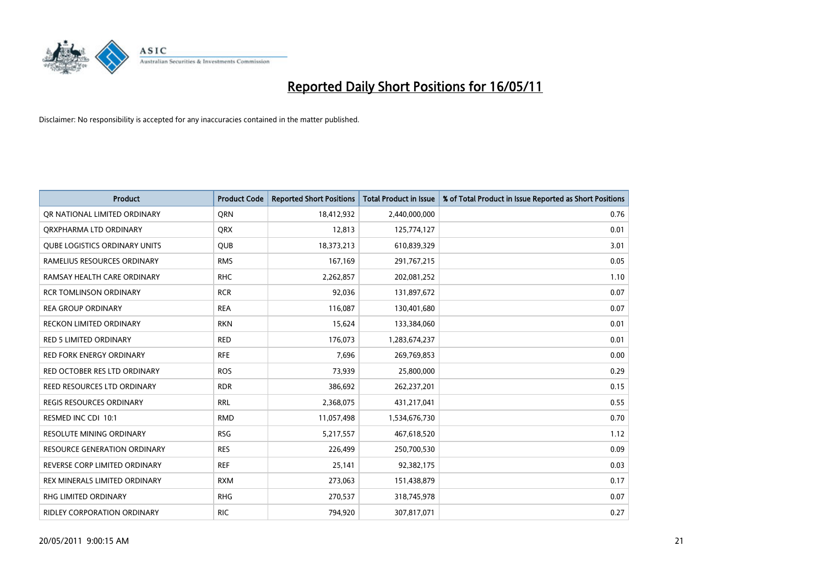

| <b>Product</b>                      | <b>Product Code</b> | <b>Reported Short Positions</b> | <b>Total Product in Issue</b> | % of Total Product in Issue Reported as Short Positions |
|-------------------------------------|---------------------|---------------------------------|-------------------------------|---------------------------------------------------------|
| OR NATIONAL LIMITED ORDINARY        | <b>ORN</b>          | 18,412,932                      | 2,440,000,000                 | 0.76                                                    |
| ORXPHARMA LTD ORDINARY              | <b>ORX</b>          | 12,813                          | 125,774,127                   | 0.01                                                    |
| QUBE LOGISTICS ORDINARY UNITS       | <b>QUB</b>          | 18,373,213                      | 610,839,329                   | 3.01                                                    |
| RAMELIUS RESOURCES ORDINARY         | <b>RMS</b>          | 167,169                         | 291,767,215                   | 0.05                                                    |
| RAMSAY HEALTH CARE ORDINARY         | <b>RHC</b>          | 2,262,857                       | 202,081,252                   | 1.10                                                    |
| <b>RCR TOMLINSON ORDINARY</b>       | <b>RCR</b>          | 92,036                          | 131,897,672                   | 0.07                                                    |
| <b>REA GROUP ORDINARY</b>           | <b>REA</b>          | 116,087                         | 130,401,680                   | 0.07                                                    |
| <b>RECKON LIMITED ORDINARY</b>      | <b>RKN</b>          | 15,624                          | 133,384,060                   | 0.01                                                    |
| <b>RED 5 LIMITED ORDINARY</b>       | <b>RED</b>          | 176,073                         | 1,283,674,237                 | 0.01                                                    |
| <b>RED FORK ENERGY ORDINARY</b>     | <b>RFE</b>          | 7,696                           | 269,769,853                   | 0.00                                                    |
| RED OCTOBER RES LTD ORDINARY        | <b>ROS</b>          | 73,939                          | 25,800,000                    | 0.29                                                    |
| REED RESOURCES LTD ORDINARY         | <b>RDR</b>          | 386,692                         | 262,237,201                   | 0.15                                                    |
| <b>REGIS RESOURCES ORDINARY</b>     | <b>RRL</b>          | 2,368,075                       | 431,217,041                   | 0.55                                                    |
| RESMED INC CDI 10:1                 | <b>RMD</b>          | 11,057,498                      | 1,534,676,730                 | 0.70                                                    |
| <b>RESOLUTE MINING ORDINARY</b>     | <b>RSG</b>          | 5,217,557                       | 467,618,520                   | 1.12                                                    |
| <b>RESOURCE GENERATION ORDINARY</b> | <b>RES</b>          | 226,499                         | 250,700,530                   | 0.09                                                    |
| REVERSE CORP LIMITED ORDINARY       | <b>REF</b>          | 25,141                          | 92,382,175                    | 0.03                                                    |
| REX MINERALS LIMITED ORDINARY       | <b>RXM</b>          | 273,063                         | 151,438,879                   | 0.17                                                    |
| <b>RHG LIMITED ORDINARY</b>         | <b>RHG</b>          | 270,537                         | 318,745,978                   | 0.07                                                    |
| <b>RIDLEY CORPORATION ORDINARY</b>  | <b>RIC</b>          | 794,920                         | 307,817,071                   | 0.27                                                    |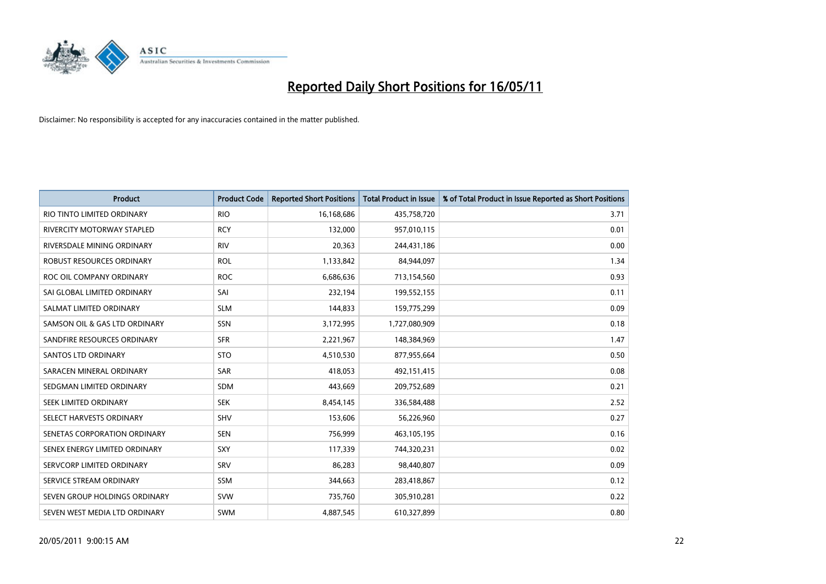

| <b>Product</b>                | <b>Product Code</b> | <b>Reported Short Positions</b> | Total Product in Issue | % of Total Product in Issue Reported as Short Positions |
|-------------------------------|---------------------|---------------------------------|------------------------|---------------------------------------------------------|
| RIO TINTO LIMITED ORDINARY    | <b>RIO</b>          | 16,168,686                      | 435,758,720            | 3.71                                                    |
| RIVERCITY MOTORWAY STAPLED    | <b>RCY</b>          | 132,000                         | 957,010,115            | 0.01                                                    |
| RIVERSDALE MINING ORDINARY    | <b>RIV</b>          | 20,363                          | 244,431,186            | 0.00                                                    |
| ROBUST RESOURCES ORDINARY     | <b>ROL</b>          | 1,133,842                       | 84,944,097             | 1.34                                                    |
| ROC OIL COMPANY ORDINARY      | <b>ROC</b>          | 6,686,636                       | 713,154,560            | 0.93                                                    |
| SAI GLOBAL LIMITED ORDINARY   | SAI                 | 232,194                         | 199,552,155            | 0.11                                                    |
| SALMAT LIMITED ORDINARY       | <b>SLM</b>          | 144,833                         | 159,775,299            | 0.09                                                    |
| SAMSON OIL & GAS LTD ORDINARY | SSN                 | 3,172,995                       | 1,727,080,909          | 0.18                                                    |
| SANDFIRE RESOURCES ORDINARY   | <b>SFR</b>          | 2,221,967                       | 148,384,969            | 1.47                                                    |
| <b>SANTOS LTD ORDINARY</b>    | <b>STO</b>          | 4,510,530                       | 877,955,664            | 0.50                                                    |
| SARACEN MINERAL ORDINARY      | <b>SAR</b>          | 418,053                         | 492,151,415            | 0.08                                                    |
| SEDGMAN LIMITED ORDINARY      | <b>SDM</b>          | 443,669                         | 209,752,689            | 0.21                                                    |
| <b>SEEK LIMITED ORDINARY</b>  | <b>SEK</b>          | 8,454,145                       | 336,584,488            | 2.52                                                    |
| SELECT HARVESTS ORDINARY      | <b>SHV</b>          | 153,606                         | 56,226,960             | 0.27                                                    |
| SENETAS CORPORATION ORDINARY  | <b>SEN</b>          | 756,999                         | 463,105,195            | 0.16                                                    |
| SENEX ENERGY LIMITED ORDINARY | <b>SXY</b>          | 117,339                         | 744,320,231            | 0.02                                                    |
| SERVCORP LIMITED ORDINARY     | SRV                 | 86,283                          | 98,440,807             | 0.09                                                    |
| SERVICE STREAM ORDINARY       | <b>SSM</b>          | 344,663                         | 283,418,867            | 0.12                                                    |
| SEVEN GROUP HOLDINGS ORDINARY | <b>SVW</b>          | 735,760                         | 305,910,281            | 0.22                                                    |
| SEVEN WEST MEDIA LTD ORDINARY | <b>SWM</b>          | 4,887,545                       | 610,327,899            | 0.80                                                    |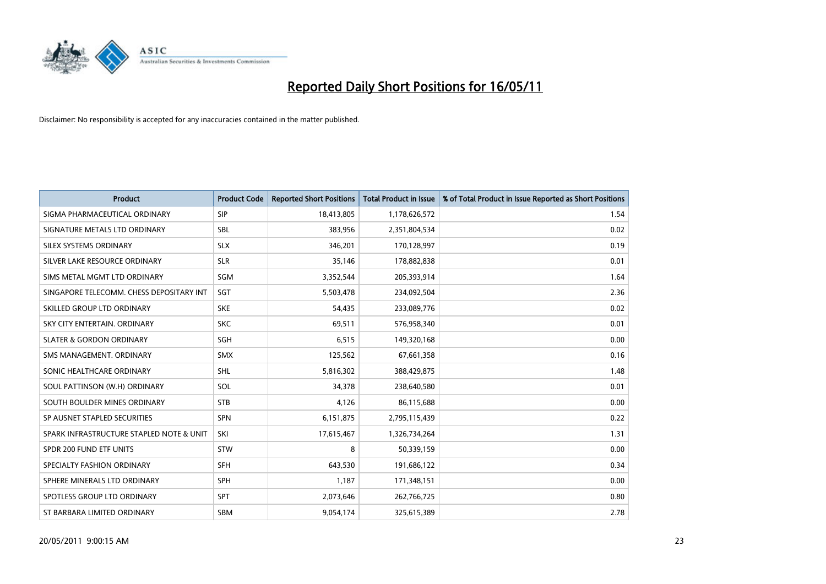

| <b>Product</b>                           | <b>Product Code</b> | <b>Reported Short Positions</b> | <b>Total Product in Issue</b> | % of Total Product in Issue Reported as Short Positions |
|------------------------------------------|---------------------|---------------------------------|-------------------------------|---------------------------------------------------------|
| SIGMA PHARMACEUTICAL ORDINARY            | SIP                 | 18,413,805                      | 1,178,626,572                 | 1.54                                                    |
| SIGNATURE METALS LTD ORDINARY            | <b>SBL</b>          | 383,956                         | 2,351,804,534                 | 0.02                                                    |
| SILEX SYSTEMS ORDINARY                   | <b>SLX</b>          | 346,201                         | 170,128,997                   | 0.19                                                    |
| SILVER LAKE RESOURCE ORDINARY            | <b>SLR</b>          | 35,146                          | 178,882,838                   | 0.01                                                    |
| SIMS METAL MGMT LTD ORDINARY             | SGM                 | 3,352,544                       | 205,393,914                   | 1.64                                                    |
| SINGAPORE TELECOMM. CHESS DEPOSITARY INT | SGT                 | 5,503,478                       | 234,092,504                   | 2.36                                                    |
| SKILLED GROUP LTD ORDINARY               | <b>SKE</b>          | 54,435                          | 233,089,776                   | 0.02                                                    |
| SKY CITY ENTERTAIN, ORDINARY             | <b>SKC</b>          | 69,511                          | 576,958,340                   | 0.01                                                    |
| <b>SLATER &amp; GORDON ORDINARY</b>      | <b>SGH</b>          | 6,515                           | 149,320,168                   | 0.00                                                    |
| SMS MANAGEMENT, ORDINARY                 | <b>SMX</b>          | 125,562                         | 67,661,358                    | 0.16                                                    |
| SONIC HEALTHCARE ORDINARY                | <b>SHL</b>          | 5,816,302                       | 388,429,875                   | 1.48                                                    |
| SOUL PATTINSON (W.H) ORDINARY            | SOL                 | 34,378                          | 238,640,580                   | 0.01                                                    |
| SOUTH BOULDER MINES ORDINARY             | <b>STB</b>          | 4,126                           | 86,115,688                    | 0.00                                                    |
| SP AUSNET STAPLED SECURITIES             | SPN                 | 6,151,875                       | 2,795,115,439                 | 0.22                                                    |
| SPARK INFRASTRUCTURE STAPLED NOTE & UNIT | SKI                 | 17,615,467                      | 1,326,734,264                 | 1.31                                                    |
| SPDR 200 FUND ETF UNITS                  | <b>STW</b>          | 8                               | 50,339,159                    | 0.00                                                    |
| SPECIALTY FASHION ORDINARY               | <b>SFH</b>          | 643,530                         | 191,686,122                   | 0.34                                                    |
| SPHERE MINERALS LTD ORDINARY             | <b>SPH</b>          | 1,187                           | 171,348,151                   | 0.00                                                    |
| SPOTLESS GROUP LTD ORDINARY              | <b>SPT</b>          | 2,073,646                       | 262,766,725                   | 0.80                                                    |
| ST BARBARA LIMITED ORDINARY              | SBM                 | 9,054,174                       | 325,615,389                   | 2.78                                                    |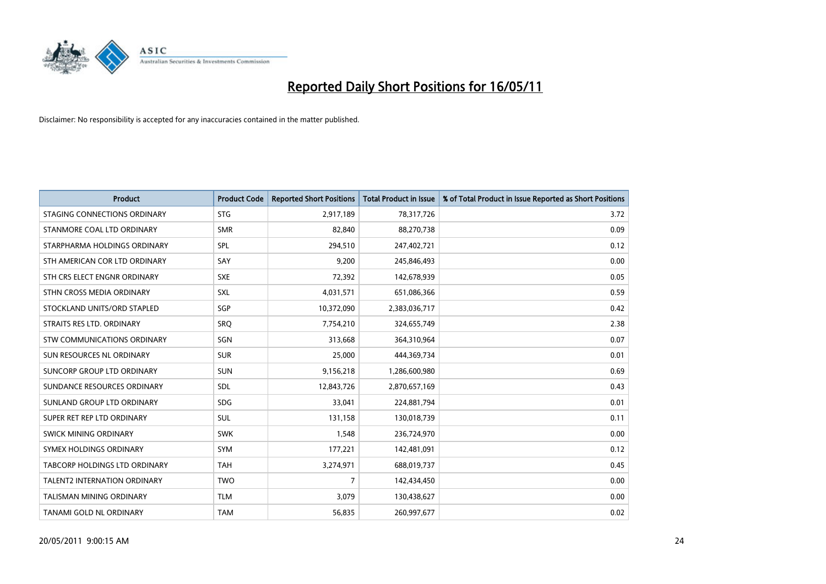

| <b>Product</b>                       | <b>Product Code</b> | <b>Reported Short Positions</b> | <b>Total Product in Issue</b> | % of Total Product in Issue Reported as Short Positions |
|--------------------------------------|---------------------|---------------------------------|-------------------------------|---------------------------------------------------------|
| STAGING CONNECTIONS ORDINARY         | <b>STG</b>          | 2,917,189                       | 78,317,726                    | 3.72                                                    |
| STANMORE COAL LTD ORDINARY           | <b>SMR</b>          | 82.840                          | 88,270,738                    | 0.09                                                    |
| STARPHARMA HOLDINGS ORDINARY         | SPL                 | 294,510                         | 247,402,721                   | 0.12                                                    |
| STH AMERICAN COR LTD ORDINARY        | SAY                 | 9,200                           | 245,846,493                   | 0.00                                                    |
| STH CRS ELECT ENGNR ORDINARY         | <b>SXE</b>          | 72,392                          | 142,678,939                   | 0.05                                                    |
| STHN CROSS MEDIA ORDINARY            | SXL                 | 4,031,571                       | 651,086,366                   | 0.59                                                    |
| STOCKLAND UNITS/ORD STAPLED          | SGP                 | 10,372,090                      | 2,383,036,717                 | 0.42                                                    |
| STRAITS RES LTD. ORDINARY            | SRO                 | 7,754,210                       | 324,655,749                   | 2.38                                                    |
| STW COMMUNICATIONS ORDINARY          | SGN                 | 313.668                         | 364,310,964                   | 0.07                                                    |
| SUN RESOURCES NL ORDINARY            | <b>SUR</b>          | 25,000                          | 444,369,734                   | 0.01                                                    |
| SUNCORP GROUP LTD ORDINARY           | <b>SUN</b>          | 9,156,218                       | 1,286,600,980                 | 0.69                                                    |
| SUNDANCE RESOURCES ORDINARY          | SDL                 | 12,843,726                      | 2,870,657,169                 | 0.43                                                    |
| SUNLAND GROUP LTD ORDINARY           | <b>SDG</b>          | 33,041                          | 224,881,794                   | 0.01                                                    |
| SUPER RET REP LTD ORDINARY           | <b>SUL</b>          | 131,158                         | 130,018,739                   | 0.11                                                    |
| SWICK MINING ORDINARY                | <b>SWK</b>          | 1,548                           | 236,724,970                   | 0.00                                                    |
| SYMEX HOLDINGS ORDINARY              | SYM                 | 177,221                         | 142,481,091                   | 0.12                                                    |
| <b>TABCORP HOLDINGS LTD ORDINARY</b> | <b>TAH</b>          | 3,274,971                       | 688,019,737                   | 0.45                                                    |
| <b>TALENT2 INTERNATION ORDINARY</b>  | <b>TWO</b>          | 7                               | 142,434,450                   | 0.00                                                    |
| <b>TALISMAN MINING ORDINARY</b>      | <b>TLM</b>          | 3,079                           | 130,438,627                   | 0.00                                                    |
| TANAMI GOLD NL ORDINARY              | <b>TAM</b>          | 56,835                          | 260,997,677                   | 0.02                                                    |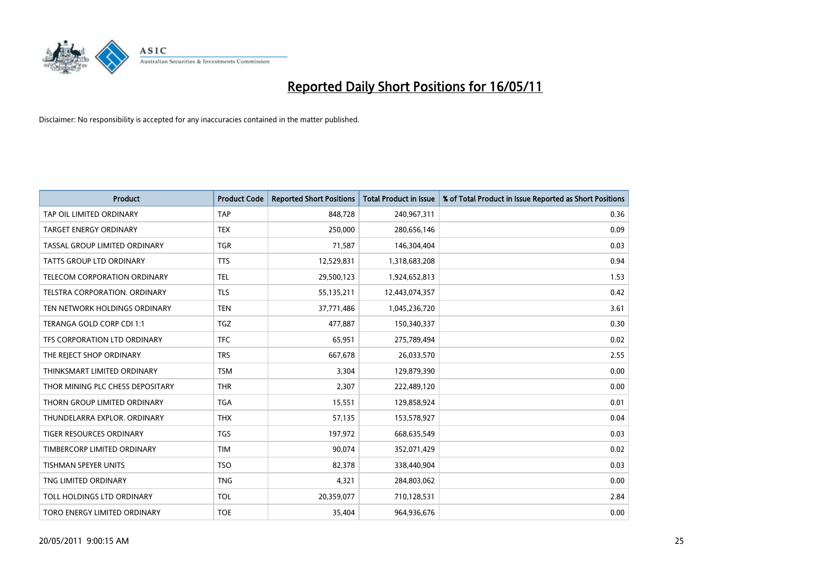

| <b>Product</b>                   | <b>Product Code</b> | <b>Reported Short Positions</b> | Total Product in Issue | % of Total Product in Issue Reported as Short Positions |
|----------------------------------|---------------------|---------------------------------|------------------------|---------------------------------------------------------|
| TAP OIL LIMITED ORDINARY         | <b>TAP</b>          | 848,728                         | 240,967,311            | 0.36                                                    |
| TARGET ENERGY ORDINARY           | <b>TEX</b>          | 250,000                         | 280,656,146            | 0.09                                                    |
| TASSAL GROUP LIMITED ORDINARY    | <b>TGR</b>          | 71,587                          | 146,304,404            | 0.03                                                    |
| TATTS GROUP LTD ORDINARY         | <b>TTS</b>          | 12,529,831                      | 1,318,683,208          | 0.94                                                    |
| TELECOM CORPORATION ORDINARY     | <b>TEL</b>          | 29,500,123                      | 1,924,652,813          | 1.53                                                    |
| TELSTRA CORPORATION. ORDINARY    | <b>TLS</b>          | 55,135,211                      | 12,443,074,357         | 0.42                                                    |
| TEN NETWORK HOLDINGS ORDINARY    | <b>TEN</b>          | 37,771,486                      | 1,045,236,720          | 3.61                                                    |
| TERANGA GOLD CORP CDI 1:1        | <b>TGZ</b>          | 477,887                         | 150,340,337            | 0.30                                                    |
| TFS CORPORATION LTD ORDINARY     | <b>TFC</b>          | 65,951                          | 275,789,494            | 0.02                                                    |
| THE REJECT SHOP ORDINARY         | <b>TRS</b>          | 667,678                         | 26,033,570             | 2.55                                                    |
| THINKSMART LIMITED ORDINARY      | <b>TSM</b>          | 3,304                           | 129,879,390            | 0.00                                                    |
| THOR MINING PLC CHESS DEPOSITARY | <b>THR</b>          | 2,307                           | 222,489,120            | 0.00                                                    |
| THORN GROUP LIMITED ORDINARY     | <b>TGA</b>          | 15,551                          | 129,858,924            | 0.01                                                    |
| THUNDELARRA EXPLOR, ORDINARY     | <b>THX</b>          | 57,135                          | 153,578,927            | 0.04                                                    |
| <b>TIGER RESOURCES ORDINARY</b>  | <b>TGS</b>          | 197,972                         | 668,635,549            | 0.03                                                    |
| TIMBERCORP LIMITED ORDINARY      | <b>TIM</b>          | 90,074                          | 352,071,429            | 0.02                                                    |
| <b>TISHMAN SPEYER UNITS</b>      | <b>TSO</b>          | 82,378                          | 338,440,904            | 0.03                                                    |
| TNG LIMITED ORDINARY             | <b>TNG</b>          | 4,321                           | 284,803,062            | 0.00                                                    |
| TOLL HOLDINGS LTD ORDINARY       | <b>TOL</b>          | 20,359,077                      | 710,128,531            | 2.84                                                    |
| TORO ENERGY LIMITED ORDINARY     | <b>TOE</b>          | 35.404                          | 964,936,676            | 0.00                                                    |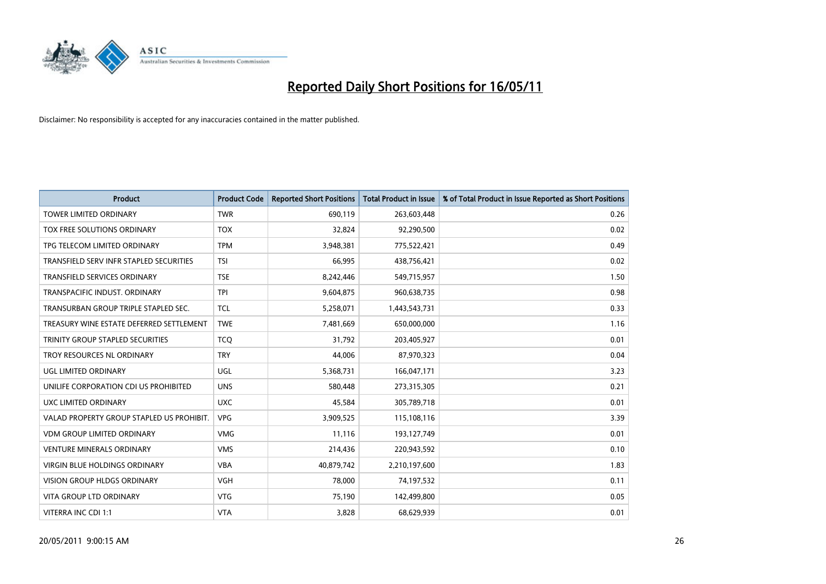

| <b>Product</b>                            | <b>Product Code</b> | <b>Reported Short Positions</b> | Total Product in Issue | % of Total Product in Issue Reported as Short Positions |
|-------------------------------------------|---------------------|---------------------------------|------------------------|---------------------------------------------------------|
| <b>TOWER LIMITED ORDINARY</b>             | <b>TWR</b>          | 690,119                         | 263,603,448            | 0.26                                                    |
| TOX FREE SOLUTIONS ORDINARY               | <b>TOX</b>          | 32,824                          | 92,290,500             | 0.02                                                    |
| TPG TELECOM LIMITED ORDINARY              | <b>TPM</b>          | 3,948,381                       | 775,522,421            | 0.49                                                    |
| TRANSFIELD SERV INFR STAPLED SECURITIES   | <b>TSI</b>          | 66,995                          | 438,756,421            | 0.02                                                    |
| <b>TRANSFIELD SERVICES ORDINARY</b>       | <b>TSE</b>          | 8,242,446                       | 549,715,957            | 1.50                                                    |
| TRANSPACIFIC INDUST, ORDINARY             | <b>TPI</b>          | 9,604,875                       | 960,638,735            | 0.98                                                    |
| TRANSURBAN GROUP TRIPLE STAPLED SEC.      | <b>TCL</b>          | 5,258,071                       | 1,443,543,731          | 0.33                                                    |
| TREASURY WINE ESTATE DEFERRED SETTLEMENT  | <b>TWE</b>          | 7,481,669                       | 650,000,000            | 1.16                                                    |
| TRINITY GROUP STAPLED SECURITIES          | <b>TCO</b>          | 31,792                          | 203,405,927            | 0.01                                                    |
| TROY RESOURCES NL ORDINARY                | <b>TRY</b>          | 44,006                          | 87,970,323             | 0.04                                                    |
| UGL LIMITED ORDINARY                      | <b>UGL</b>          | 5,368,731                       | 166,047,171            | 3.23                                                    |
| UNILIFE CORPORATION CDI US PROHIBITED     | <b>UNS</b>          | 580,448                         | 273,315,305            | 0.21                                                    |
| UXC LIMITED ORDINARY                      | <b>UXC</b>          | 45,584                          | 305,789,718            | 0.01                                                    |
| VALAD PROPERTY GROUP STAPLED US PROHIBIT. | <b>VPG</b>          | 3,909,525                       | 115,108,116            | 3.39                                                    |
| <b>VDM GROUP LIMITED ORDINARY</b>         | <b>VMG</b>          | 11,116                          | 193,127,749            | 0.01                                                    |
| <b>VENTURE MINERALS ORDINARY</b>          | <b>VMS</b>          | 214,436                         | 220,943,592            | 0.10                                                    |
| VIRGIN BLUE HOLDINGS ORDINARY             | <b>VBA</b>          | 40,879,742                      | 2,210,197,600          | 1.83                                                    |
| VISION GROUP HLDGS ORDINARY               | <b>VGH</b>          | 78,000                          | 74,197,532             | 0.11                                                    |
| <b>VITA GROUP LTD ORDINARY</b>            | <b>VTG</b>          | 75,190                          | 142,499,800            | 0.05                                                    |
| VITERRA INC CDI 1:1                       | <b>VTA</b>          | 3,828                           | 68,629,939             | 0.01                                                    |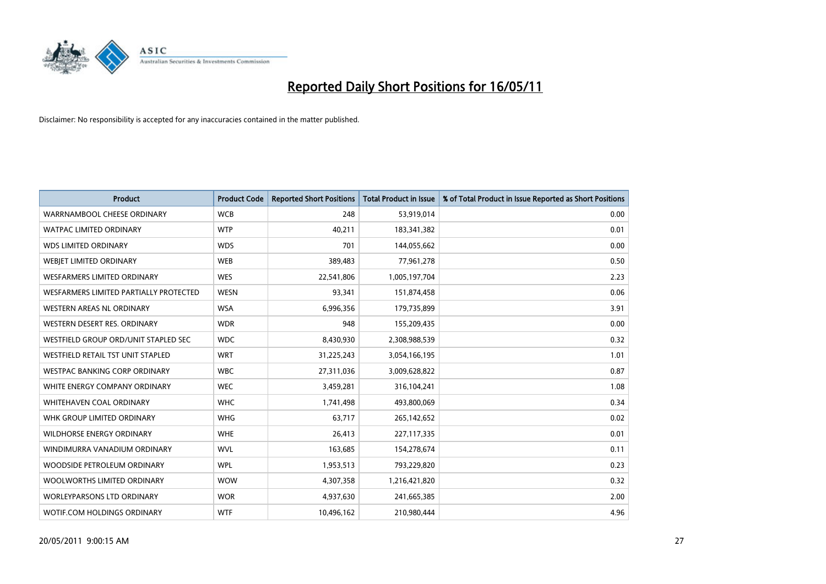

| <b>Product</b>                         | <b>Product Code</b> | <b>Reported Short Positions</b> | <b>Total Product in Issue</b> | % of Total Product in Issue Reported as Short Positions |
|----------------------------------------|---------------------|---------------------------------|-------------------------------|---------------------------------------------------------|
| WARRNAMBOOL CHEESE ORDINARY            | <b>WCB</b>          | 248                             | 53,919,014                    | 0.00                                                    |
| <b>WATPAC LIMITED ORDINARY</b>         | <b>WTP</b>          | 40,211                          | 183,341,382                   | 0.01                                                    |
| <b>WDS LIMITED ORDINARY</b>            | <b>WDS</b>          | 701                             | 144,055,662                   | 0.00                                                    |
| WEBJET LIMITED ORDINARY                | <b>WEB</b>          | 389,483                         | 77,961,278                    | 0.50                                                    |
| <b>WESFARMERS LIMITED ORDINARY</b>     | <b>WES</b>          | 22,541,806                      | 1,005,197,704                 | 2.23                                                    |
| WESFARMERS LIMITED PARTIALLY PROTECTED | <b>WESN</b>         | 93,341                          | 151,874,458                   | 0.06                                                    |
| WESTERN AREAS NL ORDINARY              | <b>WSA</b>          | 6,996,356                       | 179,735,899                   | 3.91                                                    |
| WESTERN DESERT RES. ORDINARY           | <b>WDR</b>          | 948                             | 155,209,435                   | 0.00                                                    |
| WESTFIELD GROUP ORD/UNIT STAPLED SEC   | <b>WDC</b>          | 8,430,930                       | 2,308,988,539                 | 0.32                                                    |
| WESTFIELD RETAIL TST UNIT STAPLED      | <b>WRT</b>          | 31,225,243                      | 3,054,166,195                 | 1.01                                                    |
| WESTPAC BANKING CORP ORDINARY          | <b>WBC</b>          | 27,311,036                      | 3,009,628,822                 | 0.87                                                    |
| WHITE ENERGY COMPANY ORDINARY          | <b>WEC</b>          | 3,459,281                       | 316,104,241                   | 1.08                                                    |
| WHITEHAVEN COAL ORDINARY               | <b>WHC</b>          | 1,741,498                       | 493,800,069                   | 0.34                                                    |
| WHK GROUP LIMITED ORDINARY             | <b>WHG</b>          | 63,717                          | 265,142,652                   | 0.02                                                    |
| <b>WILDHORSE ENERGY ORDINARY</b>       | <b>WHE</b>          | 26,413                          | 227,117,335                   | 0.01                                                    |
| WINDIMURRA VANADIUM ORDINARY           | <b>WVL</b>          | 163,685                         | 154,278,674                   | 0.11                                                    |
| WOODSIDE PETROLEUM ORDINARY            | <b>WPL</b>          | 1,953,513                       | 793,229,820                   | 0.23                                                    |
| WOOLWORTHS LIMITED ORDINARY            | <b>WOW</b>          | 4,307,358                       | 1,216,421,820                 | 0.32                                                    |
| <b>WORLEYPARSONS LTD ORDINARY</b>      | <b>WOR</b>          | 4,937,630                       | 241,665,385                   | 2.00                                                    |
| WOTIF.COM HOLDINGS ORDINARY            | <b>WTF</b>          | 10,496,162                      | 210,980,444                   | 4.96                                                    |